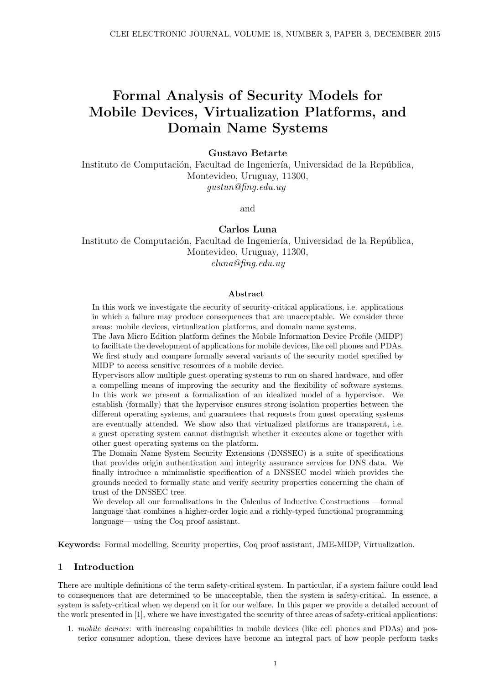# Formal Analysis of Security Models for Mobile Devices, Virtualization Platforms, and Domain Name Systems

Gustavo Betarte

Instituto de Computación, Facultad de Ingeniería, Universidad de la República, Montevideo, Uruguay, 11300, gustun@fing.edu.uy

and

Carlos Luna

Instituto de Computación, Facultad de Ingeniería, Universidad de la República, Montevideo, Uruguay, 11300, cluna@fing.edu.uy

## Abstract

In this work we investigate the security of security-critical applications, i.e. applications in which a failure may produce consequences that are unacceptable. We consider three areas: mobile devices, virtualization platforms, and domain name systems.

The Java Micro Edition platform defines the Mobile Information Device Profile (MIDP) to facilitate the development of applications for mobile devices, like cell phones and PDAs. We first study and compare formally several variants of the security model specified by MIDP to access sensitive resources of a mobile device.

Hypervisors allow multiple guest operating systems to run on shared hardware, and offer a compelling means of improving the security and the flexibility of software systems. In this work we present a formalization of an idealized model of a hypervisor. We establish (formally) that the hypervisor ensures strong isolation properties between the different operating systems, and guarantees that requests from guest operating systems are eventually attended. We show also that virtualized platforms are transparent, i.e. a guest operating system cannot distinguish whether it executes alone or together with other guest operating systems on the platform.

The Domain Name System Security Extensions (DNSSEC) is a suite of specifications that provides origin authentication and integrity assurance services for DNS data. We finally introduce a minimalistic specification of a DNSSEC model which provides the grounds needed to formally state and verify security properties concerning the chain of trust of the DNSSEC tree.

We develop all our formalizations in the Calculus of Inductive Constructions —formal language that combines a higher-order logic and a richly-typed functional programming language— using the Coq proof assistant.

Keywords: Formal modelling, Security properties, Coq proof assistant, JME-MIDP, Virtualization.

# 1 Introduction

There are multiple definitions of the term safety-critical system. In particular, if a system failure could lead to consequences that are determined to be unacceptable, then the system is safety-critical. In essence, a system is safety-critical when we depend on it for our welfare. In this paper we provide a detailed account of the work presented in [1], where we have investigated the security of three areas of safety-critical applications:

1. mobile devices: with increasing capabilities in mobile devices (like cell phones and PDAs) and posterior consumer adoption, these devices have become an integral part of how people perform tasks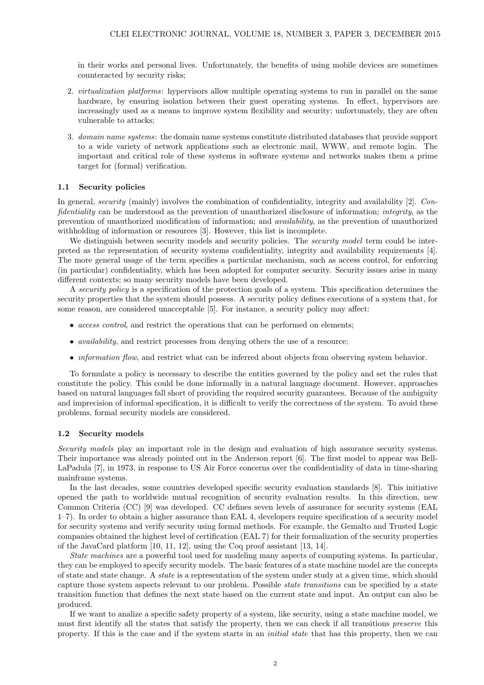in their works and personal lives. Unfortunately, the benefits of using mobile devices are sometimes counteracted by security risks;

- 2. virtualization platforms: hypervisors allow multiple operating systems to run in parallel on the same hardware, by ensuring isolation between their guest operating systems. In effect, hypervisors are increasingly used as a means to improve system flexibility and security; unfortunately, they are often vulnerable to attacks;
- 3. domain name systems: the domain name systems constitute distributed databases that provide support to a wide variety of network applications such as electronic mail, WWW, and remote login. The important and critical role of these systems in software systems and networks makes them a prime target for (formal) verification.

## 1.1 Security policies

In general, security (mainly) involves the combination of confidentiality, integrity and availability [2]. Confidentiality can be understood as the prevention of unauthorized disclosure of information; integrity, as the prevention of unauthorized modification of information; and availability, as the prevention of unauthorized withholding of information or resources [3]. However, this list is incomplete.

We distinguish between security models and security policies. The *security model* term could be interpreted as the representation of security systems confidentiality, integrity and availability requirements [4]. The more general usage of the term specifies a particular mechanism, such as access control, for enforcing (in particular) confidentiality, which has been adopted for computer security. Security issues arise in many different contexts; so many security models have been developed.

A security policy is a specification of the protection goals of a system. This specification determines the security properties that the system should possess. A security policy defines executions of a system that, for some reason, are considered unacceptable [5]. For instance, a security policy may affect:

- access control, and restrict the operations that can be performed on elements;
- *availability*, and restrict processes from denying others the use of a resource;
- *information flow*, and restrict what can be inferred about objects from observing system behavior.

To formulate a policy is necessary to describe the entities governed by the policy and set the rules that constitute the policy. This could be done informally in a natural language document. However, approaches based on natural languages fall short of providing the required security guarantees. Because of the ambiguity and imprecision of informal specification, it is difficult to verify the correctness of the system. To avoid these problems, formal security models are considered.

## 1.2 Security models

Security models play an important role in the design and evaluation of high assurance security systems. Their importance was already pointed out in the Anderson report [6]. The first model to appear was Bell-LaPadula [7], in 1973, in response to US Air Force concerns over the confidentiality of data in time-sharing mainframe systems.

In the last decades, some countries developed specific security evaluation standards [8]. This initiative opened the path to worldwide mutual recognition of security evaluation results. In this direction, new Common Criteria (CC) [9] was developed. CC defines seven levels of assurance for security systems (EAL 1–7). In order to obtain a higher assurance than EAL 4, developers require specification of a security model for security systems and verify security using formal methods. For example, the Gemalto and Trusted Logic companies obtained the highest level of certification (EAL 7) for their formalization of the security properties of the JavaCard platform [10, 11, 12], using the Coq proof assistant [13, 14].

State machines are a powerful tool used for modeling many aspects of computing systems. In particular, they can be employed to specify security models. The basic features of a state machine model are the concepts of state and state change. A state is a representation of the system under study at a given time, which should capture those system aspects relevant to our problem. Possible state transitions can be specified by a state transition function that defines the next state based on the current state and input. An output can also be produced.

If we want to analize a specific safety property of a system, like security, using a state machine model, we must first identify all the states that satisfy the property, then we can check if all transitions preserve this property. If this is the case and if the system starts in an initial state that has this property, then we can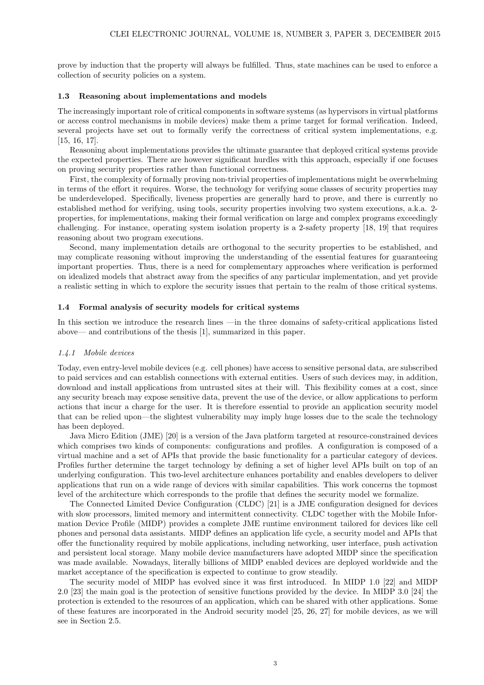prove by induction that the property will always be fulfilled. Thus, state machines can be used to enforce a collection of security policies on a system.

### 1.3 Reasoning about implementations and models

The increasingly important role of critical components in software systems (as hypervisors in virtual platforms or access control mechanisms in mobile devices) make them a prime target for formal verification. Indeed, several projects have set out to formally verify the correctness of critical system implementations, e.g. [15, 16, 17].

Reasoning about implementations provides the ultimate guarantee that deployed critical systems provide the expected properties. There are however significant hurdles with this approach, especially if one focuses on proving security properties rather than functional correctness.

First, the complexity of formally proving non-trivial properties of implementations might be overwhelming in terms of the effort it requires. Worse, the technology for verifying some classes of security properties may be underdeveloped. Specifically, liveness properties are generally hard to prove, and there is currently no established method for verifying, using tools, security properties involving two system executions, a.k.a. 2 properties, for implementations, making their formal verification on large and complex programs exceedingly challenging. For instance, operating system isolation property is a 2-safety property [18, 19] that requires reasoning about two program executions.

Second, many implementation details are orthogonal to the security properties to be established, and may complicate reasoning without improving the understanding of the essential features for guaranteeing important properties. Thus, there is a need for complementary approaches where verification is performed on idealized models that abstract away from the specifics of any particular implementation, and yet provide a realistic setting in which to explore the security issues that pertain to the realm of those critical systems.

#### 1.4 Formal analysis of security models for critical systems

In this section we introduce the research lines —in the three domains of safety-critical applications listed above— and contributions of the thesis [1], summarized in this paper.

#### 1.4.1 Mobile devices

Today, even entry-level mobile devices (e.g. cell phones) have access to sensitive personal data, are subscribed to paid services and can establish connections with external entities. Users of such devices may, in addition, download and install applications from untrusted sites at their will. This flexibility comes at a cost, since any security breach may expose sensitive data, prevent the use of the device, or allow applications to perform actions that incur a charge for the user. It is therefore essential to provide an application security model that can be relied upon—the slightest vulnerability may imply huge losses due to the scale the technology has been deployed.

Java Micro Edition (JME) [20] is a version of the Java platform targeted at resource-constrained devices which comprises two kinds of components: configurations and profiles. A configuration is composed of a virtual machine and a set of APIs that provide the basic functionality for a particular category of devices. Profiles further determine the target technology by defining a set of higher level APIs built on top of an underlying configuration. This two-level architecture enhances portability and enables developers to deliver applications that run on a wide range of devices with similar capabilities. This work concerns the topmost level of the architecture which corresponds to the profile that defines the security model we formalize.

The Connected Limited Device Configuration (CLDC) [21] is a JME configuration designed for devices with slow processors, limited memory and intermittent connectivity. CLDC together with the Mobile Information Device Profile (MIDP) provides a complete JME runtime environment tailored for devices like cell phones and personal data assistants. MIDP defines an application life cycle, a security model and APIs that offer the functionality required by mobile applications, including networking, user interface, push activation and persistent local storage. Many mobile device manufacturers have adopted MIDP since the specification was made available. Nowadays, literally billions of MIDP enabled devices are deployed worldwide and the market acceptance of the specification is expected to continue to grow steadily.

The security model of MIDP has evolved since it was first introduced. In MIDP 1.0 [22] and MIDP 2.0 [23] the main goal is the protection of sensitive functions provided by the device. In MIDP 3.0 [24] the protection is extended to the resources of an application, which can be shared with other applications. Some of these features are incorporated in the Android security model [25, 26, 27] for mobile devices, as we will see in Section 2.5.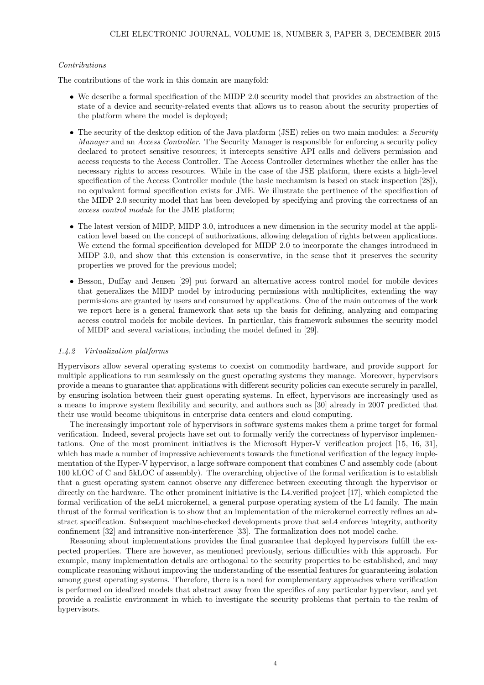#### Contributions

The contributions of the work in this domain are manyfold:

- We describe a formal specification of the MIDP 2.0 security model that provides an abstraction of the state of a device and security-related events that allows us to reason about the security properties of the platform where the model is deployed;
- The security of the desktop edition of the Java platform (JSE) relies on two main modules: a *Security* Manager and an Access Controller. The Security Manager is responsible for enforcing a security policy declared to protect sensitive resources; it intercepts sensitive API calls and delivers permission and access requests to the Access Controller. The Access Controller determines whether the caller has the necessary rights to access resources. While in the case of the JSE platform, there exists a high-level specification of the Access Controller module (the basic mechamism is based on stack inspection [28]), no equivalent formal specification exists for JME. We illustrate the pertinence of the specification of the MIDP 2.0 security model that has been developed by specifying and proving the correctness of an access control module for the JME platform;
- The latest version of MIDP, MIDP 3.0, introduces a new dimension in the security model at the application level based on the concept of authorizations, allowing delegation of rights between applications. We extend the formal specification developed for MIDP 2.0 to incorporate the changes introduced in MIDP 3.0, and show that this extension is conservative, in the sense that it preserves the security properties we proved for the previous model;
- Besson, Duffay and Jensen [29] put forward an alternative access control model for mobile devices that generalizes the MIDP model by introducing permissions with multiplicites, extending the way permissions are granted by users and consumed by applications. One of the main outcomes of the work we report here is a general framework that sets up the basis for defining, analyzing and comparing access control models for mobile devices. In particular, this framework subsumes the security model of MIDP and several variations, including the model defined in [29].

#### 1.4.2 Virtualization platforms

Hypervisors allow several operating systems to coexist on commodity hardware, and provide support for multiple applications to run seamlessly on the guest operating systems they manage. Moreover, hypervisors provide a means to guarantee that applications with different security policies can execute securely in parallel, by ensuring isolation between their guest operating systems. In effect, hypervisors are increasingly used as a means to improve system flexibility and security, and authors such as [30] already in 2007 predicted that their use would become ubiquitous in enterprise data centers and cloud computing.

The increasingly important role of hypervisors in software systems makes them a prime target for formal verification. Indeed, several projects have set out to formally verify the correctness of hypervisor implementations. One of the most prominent initiatives is the Microsoft Hyper-V verification project [15, 16, 31], which has made a number of impressive achievements towards the functional verification of the legacy implementation of the Hyper-V hypervisor, a large software component that combines C and assembly code (about 100 kLOC of C and 5kLOC of assembly). The overarching objective of the formal verification is to establish that a guest operating system cannot observe any difference between executing through the hypervisor or directly on the hardware. The other prominent initiative is the L4.verified project [17], which completed the formal verification of the seL4 microkernel, a general purpose operating system of the L4 family. The main thrust of the formal verification is to show that an implementation of the microkernel correctly refines an abstract specification. Subsequent machine-checked developments prove that seL4 enforces integrity, authority confinement [32] and intransitive non-interference [33]. The formalization does not model cache.

Reasoning about implementations provides the final guarantee that deployed hypervisors fulfill the expected properties. There are however, as mentioned previously, serious difficulties with this approach. For example, many implementation details are orthogonal to the security properties to be established, and may complicate reasoning without improving the understanding of the essential features for guaranteeing isolation among guest operating systems. Therefore, there is a need for complementary approaches where verification is performed on idealized models that abstract away from the specifics of any particular hypervisor, and yet provide a realistic environment in which to investigate the security problems that pertain to the realm of hypervisors.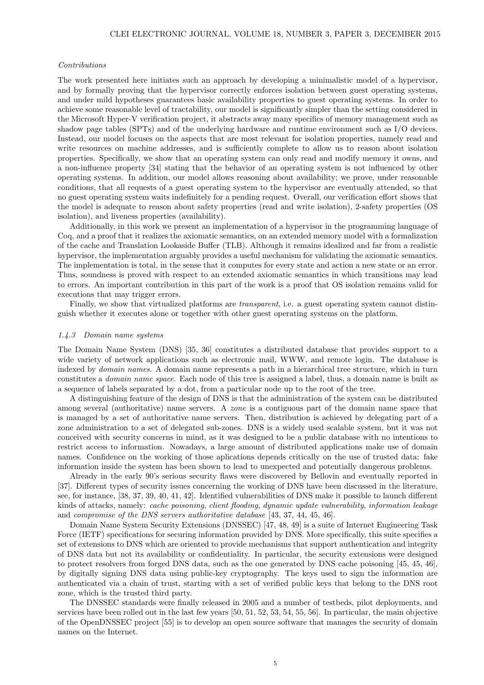#### Contributions

The work presented here initiates such an approach by developing a minimalistic model of a hypervisor, and by formally proving that the hypervisor correctly enforces isolation between guest operating systems, and under mild hypotheses guarantees basic availability properties to guest operating systems. In order to achieve some reasonable level of tractability, our model is significantly simpler than the setting considered in the Microsoft Hyper-V verification project, it abstracts away many specifics of memory management such as shadow page tables (SPTs) and of the underlying hardware and runtime environment such as I/O devices. Instead, our model focuses on the aspects that are most relevant for isolation properties, namely read and write resources on machine addresses, and is sufficiently complete to allow us to reason about isolation properties. Specifically, we show that an operating system can only read and modify memory it owns, and a non-influence property [34] stating that the behavior of an operating system is not influenced by other operating systems. In addition, our model allows reasoning about availability; we prove, under reasonable conditions, that all requests of a guest operating system to the hypervisor are eventually attended, so that no guest operating system waits indefinitely for a pending request. Overall, our verification effort shows that the model is adequate to reason about safety properties (read and write isolation), 2-safety properties (OS isolation), and liveness properties (availability).

Additionally, in this work we present an implementation of a hypervisor in the programming language of Coq, and a proof that it realizes the axiomatic semantics, on an extended memory model with a formalization of the cache and Translation Lookaside Buffer (TLB). Although it remains idealized and far from a realistic hypervisor, the implementation arguably provides a useful mechanism for validating the axiomatic semantics. The implementation is total, in the sense that it computes for every state and action a new state or an error. Thus, soundness is proved with respect to an extended axiomatic semantics in which transitions may lead to errors. An important contribution in this part of the work is a proof that OS isolation remains valid for executions that may trigger errors.

Finally, we show that virtualized platforms are *transparent*, i.e. a guest operating system cannot distinguish whether it executes alone or together with other guest operating systems on the platform.

#### 1.4.3 Domain name systems

The Domain Name System (DNS) [35, 36] constitutes a distributed database that provides support to a wide variety of network applications such as electronic mail, WWW, and remote login. The database is indexed by domain names. A domain name represents a path in a hierarchical tree structure, which in turn constitutes a domain name space. Each node of this tree is assigned a label, thus, a domain name is built as a sequence of labels separated by a dot, from a particular node up to the root of the tree.

A distinguishing feature of the design of DNS is that the administration of the system can be distributed among several (authoritative) name servers. A zone is a contiguous part of the domain name space that is managed by a set of authoritative name servers. Then, distribution is achieved by delegating part of a zone administration to a set of delegated sub-zones. DNS is a widely used scalable system, but it was not conceived with security concerns in mind, as it was designed to be a public database with no intentions to restrict access to information. Nowadays, a large amount of distributed applications make use of domain names. Confidence on the working of those aplications depends critically on the use of trusted data: fake information inside the system has been shown to lead to unexpected and potentially dangerous problems.

Already in the early 90's serious security flaws were discovered by Bellovin and eventually reported in [37]. Different types of security issues concerning the working of DNS have been discussed in the literature, see, for instance, [38, 37, 39, 40, 41, 42]. Identified vulnerabilities of DNS make it possible to launch different kinds of attacks, namely: cache poisoning, client flooding, dynamic update vulnerability, information leakage and compromise of the DNS servers authoritative database [43, 37, 44, 45, 46].

Domain Name System Security Extensions (DNSSEC) [47, 48, 49] is a suite of Internet Engineering Task Force (IETF) specifications for securing information provided by DNS. More specifically, this suite specifies a set of extensions to DNS which are oriented to provide mechanisms that support authentication and integrity of DNS data but not its availability or confidentiality. In particular, the security extensions were designed to protect resolvers from forged DNS data, such as the one generated by DNS cache poisoning [45, 45, 46], by digitally signing DNS data using public-key cryptography. The keys used to sign the information are authenticated via a chain of trust, starting with a set of verified public keys that belong to the DNS root zone, which is the trusted third party.

The DNSSEC standards were finally released in 2005 and a number of testbeds, pilot deployments, and services have been rolled out in the last few years [50, 51, 52, 53, 54, 55, 56]. In particular, the main objective of the OpenDNSSEC project [55] is to develop an open source software that manages the security of domain names on the Internet.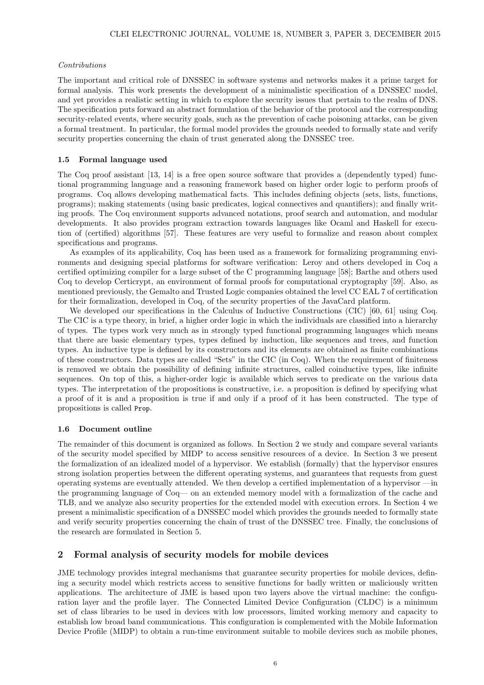## Contributions

The important and critical role of DNSSEC in software systems and networks makes it a prime target for formal analysis. This work presents the development of a minimalistic specification of a DNSSEC model, and yet provides a realistic setting in which to explore the security issues that pertain to the realm of DNS. The specification puts forward an abstract formulation of the behavior of the protocol and the corresponding security-related events, where security goals, such as the prevention of cache poisoning attacks, can be given a formal treatment. In particular, the formal model provides the grounds needed to formally state and verify security properties concerning the chain of trust generated along the DNSSEC tree.

## 1.5 Formal language used

The Coq proof assistant [13, 14] is a free open source software that provides a (dependently typed) functional programming language and a reasoning framework based on higher order logic to perform proofs of programs. Coq allows developing mathematical facts. This includes defining objects (sets, lists, functions, programs); making statements (using basic predicates, logical connectives and quantifiers); and finally writing proofs. The Coq environment supports advanced notations, proof search and automation, and modular developments. It also provides program extraction towards languages like Ocaml and Haskell for execution of (certified) algorithms [57]. These features are very useful to formalize and reason about complex specifications and programs.

As examples of its applicability, Coq has been used as a framework for formalizing programming environments and designing special platforms for software verification: Leroy and others developed in Coq a certified optimizing compiler for a large subset of the C programming language [58]; Barthe and others used Coq to develop Certicrypt, an environment of formal proofs for computational cryptography [59]. Also, as mentioned previously, the Gemalto and Trusted Logic companies obtained the level CC EAL 7 of certification for their formalization, developed in Coq, of the security properties of the JavaCard platform.

We developed our specifications in the Calculus of Inductive Constructions (CIC) [60, 61] using Coq. The CIC is a type theory, in brief, a higher order logic in which the individuals are classified into a hierarchy of types. The types work very much as in strongly typed functional programming languages which means that there are basic elementary types, types defined by induction, like sequences and trees, and function types. An inductive type is defined by its constructors and its elements are obtained as finite combinations of these constructors. Data types are called "Sets" in the CIC (in Coq). When the requirement of finiteness is removed we obtain the possibility of defining infinite structures, called coinductive types, like infinite sequences. On top of this, a higher-order logic is available which serves to predicate on the various data types. The interpretation of the propositions is constructive, i.e. a proposition is defined by specifying what a proof of it is and a proposition is true if and only if a proof of it has been constructed. The type of propositions is called Prop.

#### 1.6 Document outline

The remainder of this document is organized as follows. In Section 2 we study and compare several variants of the security model specified by MIDP to access sensitive resources of a device. In Section 3 we present the formalization of an idealized model of a hypervisor. We establish (formally) that the hypervisor ensures strong isolation properties between the different operating systems, and guarantees that requests from guest operating systems are eventually attended. We then develop a certified implementation of a hypervisor —in the programming language of Coq— on an extended memory model with a formalization of the cache and TLB, and we analyze also security properties for the extended model with execution errors. In Section 4 we present a minimalistic specification of a DNSSEC model which provides the grounds needed to formally state and verify security properties concerning the chain of trust of the DNSSEC tree. Finally, the conclusions of the research are formulated in Section 5.

# 2 Formal analysis of security models for mobile devices

JME technology provides integral mechanisms that guarantee security properties for mobile devices, defining a security model which restricts access to sensitive functions for badly written or maliciously written applications. The architecture of JME is based upon two layers above the virtual machine: the configuration layer and the profile layer. The Connected Limited Device Configuration (CLDC) is a minimum set of class libraries to be used in devices with low processors, limited working memory and capacity to establish low broad band communications. This configuration is complemented with the Mobile Information Device Profile (MIDP) to obtain a run-time environment suitable to mobile devices such as mobile phones,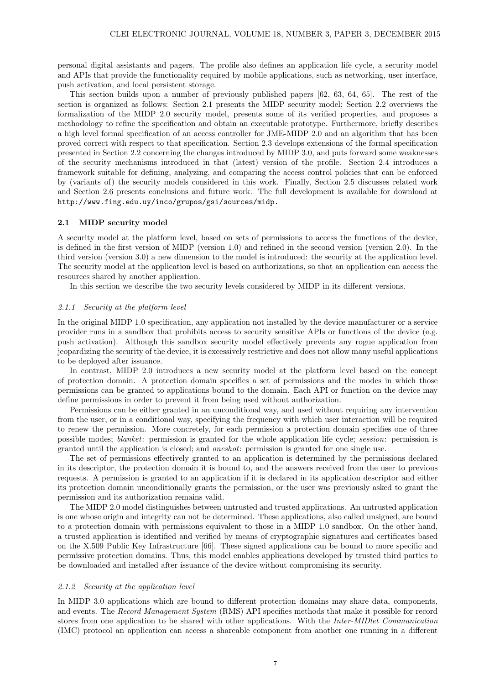personal digital assistants and pagers. The profile also defines an application life cycle, a security model and APIs that provide the functionality required by mobile applications, such as networking, user interface, push activation, and local persistent storage.

This section builds upon a number of previously published papers [62, 63, 64, 65]. The rest of the section is organized as follows: Section 2.1 presents the MIDP security model; Section 2.2 overviews the formalization of the MIDP 2.0 security model, presents some of its verified properties, and proposes a methodology to refine the specification and obtain an executable prototype. Furthermore, briefly describes a high level formal specification of an access controller for JME-MIDP 2.0 and an algorithm that has been proved correct with respect to that specification. Section 2.3 develops extensions of the formal specification presented in Section 2.2 concerning the changes introduced by MIDP 3.0, and puts forward some weaknesses of the security mechanisms introduced in that (latest) version of the profile. Section 2.4 introduces a framework suitable for defining, analyzing, and comparing the access control policies that can be enforced by (variants of) the security models considered in this work. Finally, Section 2.5 discusses related work and Section 2.6 presents conclusions and future work. The full development is available for download at http://www.fing.edu.uy/inco/grupos/gsi/sources/midp.

# 2.1 MIDP security model

A security model at the platform level, based on sets of permissions to access the functions of the device, is defined in the first version of MIDP (version 1.0) and refined in the second version (version 2.0). In the third version (version 3.0) a new dimension to the model is introduced: the security at the application level. The security model at the application level is based on authorizations, so that an application can access the resources shared by another application.

In this section we describe the two security levels considered by MIDP in its different versions.

## 2.1.1 Security at the platform level

In the original MIDP 1.0 specification, any application not installed by the device manufacturer or a service provider runs in a sandbox that prohibits access to security sensitive APIs or functions of the device (e.g. push activation). Although this sandbox security model effectively prevents any rogue application from jeopardizing the security of the device, it is excessively restrictive and does not allow many useful applications to be deployed after issuance.

In contrast, MIDP 2.0 introduces a new security model at the platform level based on the concept of protection domain. A protection domain specifies a set of permissions and the modes in which those permissions can be granted to applications bound to the domain. Each API or function on the device may define permissions in order to prevent it from being used without authorization.

Permissions can be either granted in an unconditional way, and used without requiring any intervention from the user, or in a conditional way, specifying the frequency with which user interaction will be required to renew the permission. More concretely, for each permission a protection domain specifies one of three possible modes; blanket: permission is granted for the whole application life cycle; session: permission is granted until the application is closed; and oneshot: permission is granted for one single use.

The set of permissions effectively granted to an application is determined by the permissions declared in its descriptor, the protection domain it is bound to, and the answers received from the user to previous requests. A permission is granted to an application if it is declared in its application descriptor and either its protection domain unconditionally grants the permission, or the user was previously asked to grant the permission and its authorization remains valid.

The MIDP 2.0 model distinguishes between untrusted and trusted applications. An untrusted application is one whose origin and integrity can not be determined. These applications, also called unsigned, are bound to a protection domain with permissions equivalent to those in a MIDP 1.0 sandbox. On the other hand, a trusted application is identified and verified by means of cryptographic signatures and certificates based on the X.509 Public Key Infrastructure [66]. These signed applications can be bound to more specific and permissive protection domains. Thus, this model enables applications developed by trusted third parties to be downloaded and installed after issuance of the device without compromising its security.

## 2.1.2 Security at the application level

In MIDP 3.0 applications which are bound to different protection domains may share data, components, and events. The Record Management System (RMS) API specifies methods that make it possible for record stores from one application to be shared with other applications. With the Inter-MIDlet Communication (IMC) protocol an application can access a shareable component from another one running in a different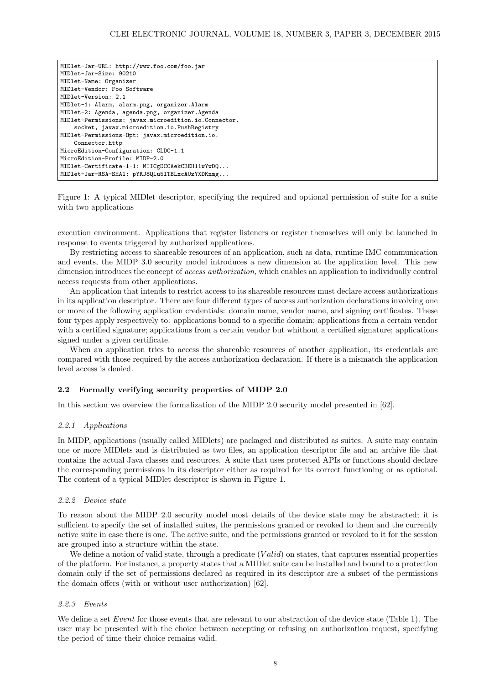```
MIDlet-Jar-URL: http://www.foo.com/foo.jar
MIDlet-Jar-Size: 90210
MIDlet-Name: Organizer
MIDlet-Vendor: Foo Software
MIDlet-Version: 2.1
MIDlet-1: Alarm, alarm.png, organizer.Alarm
MIDlet-2: Agenda, agenda.png, organizer.Agenda
MIDlet-Permissions: javax.microedition.io.Connector.
   socket, javax.microedition.io.PushRegistry
MIDlet-Permissions-Opt: javax.microedition.io.
    Connector.http
MicroEdition-Configuration: CLDC-1.1
MicroEdition-Profile: MIDP-2.0
MIDlet-Certificate-1-1: MIICgDCCAekCBEH11wYwDQ...
MIDlet-Jar-RSA-SHA1: pYRJ8Qlu5ITBLxcAUzYXDKnmg...
```
Figure 1: A typical MIDlet descriptor, specifying the required and optional permission of suite for a suite with two applications

execution environment. Applications that register listeners or register themselves will only be launched in response to events triggered by authorized applications.

By restricting access to shareable resources of an application, such as data, runtime IMC communication and events, the MIDP 3.0 security model introduces a new dimension at the application level. This new dimension introduces the concept of access authorization, which enables an application to individually control access requests from other applications.

An application that intends to restrict access to its shareable resources must declare access authorizations in its application descriptor. There are four different types of access authorization declarations involving one or more of the following application credentials: domain name, vendor name, and signing certificates. These four types apply respectively to: applications bound to a specific domain; applications from a certain vendor with a certified signature; applications from a certain vendor but whithout a certified signature; applications signed under a given certificate.

When an application tries to access the shareable resources of another application, its credentials are compared with those required by the access authorization declaration. If there is a mismatch the application level access is denied.

## 2.2 Formally verifying security properties of MIDP 2.0

In this section we overview the formalization of the MIDP 2.0 security model presented in [62].

## 2.2.1 Applications

In MIDP, applications (usually called MIDlets) are packaged and distributed as suites. A suite may contain one or more MIDlets and is distributed as two files, an application descriptor file and an archive file that contains the actual Java classes and resources. A suite that uses protected APIs or functions should declare the corresponding permissions in its descriptor either as required for its correct functioning or as optional. The content of a typical MIDlet descriptor is shown in Figure 1.

#### 2.2.2 Device state

To reason about the MIDP 2.0 security model most details of the device state may be abstracted; it is sufficient to specify the set of installed suites, the permissions granted or revoked to them and the currently active suite in case there is one. The active suite, and the permissions granted or revoked to it for the session are grouped into a structure within the state.

We define a notion of valid state, through a predicate  $(Valid)$  on states, that captures essential properties of the platform. For instance, a property states that a MIDlet suite can be installed and bound to a protection domain only if the set of permissions declared as required in its descriptor are a subset of the permissions the domain offers (with or without user authorization) [62].

#### 2.2.3 Events

We define a set *Event* for those events that are relevant to our abstraction of the device state (Table 1). The user may be presented with the choice between accepting or refusing an authorization request, specifying the period of time their choice remains valid.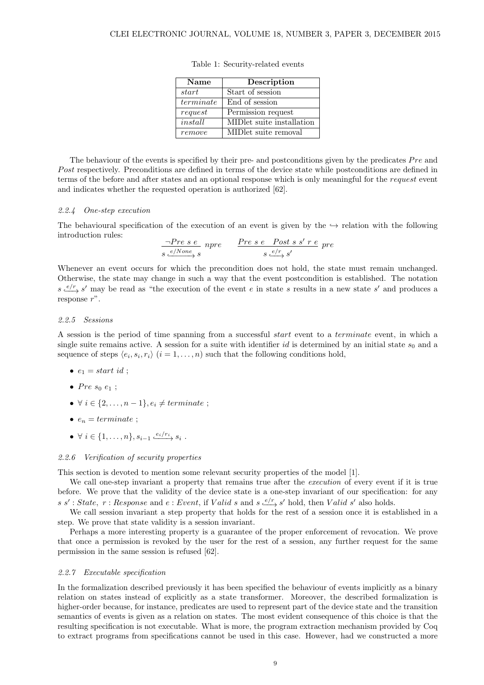| Name      | Description               |
|-----------|---------------------------|
| start     | Start of session          |
| terminate | End of session            |
| request   | Permission request        |
| install   | MIDlet suite installation |
| remove    | MID let suite removal     |

Table 1: Security-related events

The behaviour of the events is specified by their pre- and postconditions given by the predicates  $Pre$  and Post respectively. Preconditions are defined in terms of the device state while postconditions are defined in terms of the before and after states and an optional response which is only meaningful for the request event and indicates whether the requested operation is authorized [62].

## 2.2.4 One-step execution

The behavioural specification of the execution of an event is given by the  $\rightarrow$  relation with the following introduction rules:

$$
\frac{\neg Pre \ s \ e}{s \ \frac{e/None}{\sqrt{3}}} \ s \ \frac{Pre \ s \ e \ \ Post \ s \ s' \ r \ e}{s \ \frac{e/r}{\sqrt{3}} \ s'}
$$

Whenever an event occurs for which the precondition does not hold, the state must remain unchanged. Otherwise, the state may change in such a way that the event postcondition is established. The notation  $s \stackrel{e/r}{\longrightarrow} s'$  may be read as "the execution of the event e in state s results in a new state s' and produces a response r".

#### 2.2.5 Sessions

A session is the period of time spanning from a successful start event to a terminate event, in which a single suite remains active. A session for a suite with identifier id is determined by an initial state  $s_0$  and a sequence of steps  $\langle e_i, s_i, r_i \rangle$   $(i = 1, ..., n)$  such that the following conditions hold,

- $e_1 = start \, id$ ;
- $Pre s_0 e_1$  ;
- $\forall i \in \{2, \ldots, n-1\}, e_i \neq terminate;$
- $e_n = terminate$ ;
- $\forall i \in \{1, \ldots, n\}, s_{i-1} \xrightarrow{e_i/r_i} s_i$ .

# 2.2.6 Verification of security properties

This section is devoted to mention some relevant security properties of the model [1].

We call one-step invariant a property that remains true after the *execution* of every event if it is true before. We prove that the validity of the device state is a one-step invariant of our specification: for any  $s s'$ : State, r : Response and e : Event, if Valid s and  $s \stackrel{e/r}{\longrightarrow} s'$  hold, then Valid s' also holds.

We call session invariant a step property that holds for the rest of a session once it is established in a step. We prove that state validity is a session invariant.

Perhaps a more interesting property is a guarantee of the proper enforcement of revocation. We prove that once a permission is revoked by the user for the rest of a session, any further request for the same permission in the same session is refused [62].

## 2.2.7 Executable specification

In the formalization described previously it has been specified the behaviour of events implicitly as a binary relation on states instead of explicitly as a state transformer. Moreover, the described formalization is higher-order because, for instance, predicates are used to represent part of the device state and the transition semantics of events is given as a relation on states. The most evident consequence of this choice is that the resulting specification is not executable. What is more, the program extraction mechanism provided by Coq to extract programs from specifications cannot be used in this case. However, had we constructed a more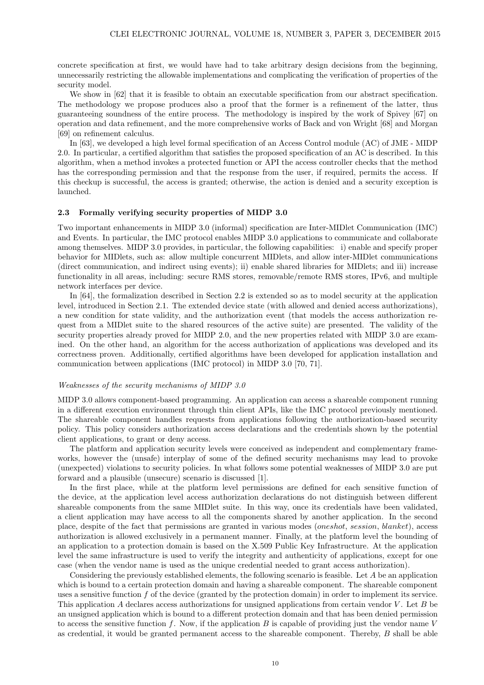concrete specification at first, we would have had to take arbitrary design decisions from the beginning, unnecessarily restricting the allowable implementations and complicating the verification of properties of the security model.

We show in [62] that it is feasible to obtain an executable specification from our abstract specification. The methodology we propose produces also a proof that the former is a refinement of the latter, thus guaranteeing soundness of the entire process. The methodology is inspired by the work of Spivey [67] on operation and data refinement, and the more comprehensive works of Back and von Wright [68] and Morgan [69] on refinement calculus.

In [63], we developed a high level formal specification of an Access Control module (AC) of JME - MIDP 2.0. In particular, a certified algorithm that satisfies the proposed specification of an AC is described. In this algorithm, when a method invokes a protected function or API the access controller checks that the method has the corresponding permission and that the response from the user, if required, permits the access. If this checkup is successful, the access is granted; otherwise, the action is denied and a security exception is launched.

#### 2.3 Formally verifying security properties of MIDP 3.0

Two important enhancements in MIDP 3.0 (informal) specification are Inter-MIDlet Communication (IMC) and Events. In particular, the IMC protocol enables MIDP 3.0 applications to communicate and collaborate among themselves. MIDP 3.0 provides, in particular, the following capabilities: i) enable and specify proper behavior for MIDlets, such as: allow multiple concurrent MIDlets, and allow inter-MIDlet communications (direct communication, and indirect using events); ii) enable shared libraries for MIDlets; and iii) increase functionality in all areas, including: secure RMS stores, removable/remote RMS stores, IPv6, and multiple network interfaces per device.

In [64], the formalization described in Section 2.2 is extended so as to model security at the application level, introduced in Section 2.1. The extended device state (with allowed and denied access authorizations), a new condition for state validity, and the authorization event (that models the access authorization request from a MIDlet suite to the shared resources of the active suite) are presented. The validity of the security properties already proved for MIDP 2.0, and the new properties related with MIDP 3.0 are examined. On the other hand, an algorithm for the access authorization of applications was developed and its correctness proven. Additionally, certified algorithms have been developed for application installation and communication between applications (IMC protocol) in MIDP 3.0 [70, 71].

#### Weaknesses of the security mechanisms of MIDP 3.0

MIDP 3.0 allows component-based programming. An application can access a shareable component running in a different execution environment through thin client APIs, like the IMC protocol previously mentioned. The shareable component handles requests from applications following the authorization-based security policy. This policy considers authorization access declarations and the credentials shown by the potential client applications, to grant or deny access.

The platform and application security levels were conceived as independent and complementary frameworks, however the (unsafe) interplay of some of the defined security mechanisms may lead to provoke (unexpected) violations to security policies. In what follows some potential weaknesses of MIDP 3.0 are put forward and a plausible (unsecure) scenario is discussed [1].

In the first place, while at the platform level permissions are defined for each sensitive function of the device, at the application level access authorization declarations do not distinguish between different shareable components from the same MIDlet suite. In this way, once its credentials have been validated, a client application may have access to all the components shared by another application. In the second place, despite of the fact that permissions are granted in various modes (oneshot, session, blanket), access authorization is allowed exclusively in a permanent manner. Finally, at the platform level the bounding of an application to a protection domain is based on the X.509 Public Key Infrastructure. At the application level the same infrastructure is used to verify the integrity and authenticity of applications, except for one case (when the vendor name is used as the unique credential needed to grant access authorization).

Considering the previously established elements, the following scenario is feasible. Let A be an application which is bound to a certain protection domain and having a shareable component. The shareable component uses a sensitive function f of the device (granted by the protection domain) in order to implement its service. This application A declares access authorizations for unsigned applications from certain vendor  $V$ . Let  $B$  be an unsigned application which is bound to a different protection domain and that has been denied permission to access the sensitive function f. Now, if the application B is capable of providing just the vendor name  $V$ as credential, it would be granted permanent access to the shareable component. Thereby, B shall be able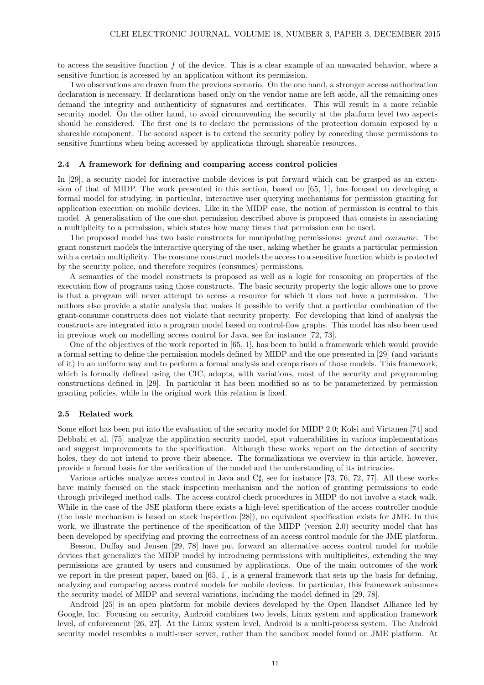to access the sensitive function  $f$  of the device. This is a clear example of an unwanted behavior, where a sensitive function is accessed by an application without its permission.

Two observations are drawn from the previous scenario. On the one hand, a stronger access authorization declaration is necessary. If declarations based only on the vendor name are left aside, all the remaining ones demand the integrity and authenticity of signatures and certificates. This will result in a more reliable security model. On the other hand, to avoid circumventing the security at the platform level two aspects should be considered. The first one is to declare the permissions of the protection domain exposed by a shareable component. The second aspect is to extend the security policy by conceding those permissions to sensitive functions when being accessed by applications through shareable resources.

## 2.4 A framework for defining and comparing access control policies

In [29], a security model for interactive mobile devices is put forward which can be grasped as an extension of that of MIDP. The work presented in this section, based on [65, 1], has focused on developing a formal model for studying, in particular, interactive user querying mechanisms for permission granting for application execution on mobile devices. Like in the MIDP case, the notion of permission is central to this model. A generalisation of the one-shot permission described above is proposed that consists in associating a multiplicity to a permission, which states how many times that permission can be used.

The proposed model has two basic constructs for manipulating permissions: grant and consume. The grant construct models the interactive querying of the user, asking whether he grants a particular permission with a certain multiplicity. The consume construct models the access to a sensitive function which is protected by the security police, and therefore requires (consumes) permissions.

A semantics of the model constructs is proposed as well as a logic for reasoning on properties of the execution flow of programs using those constructs. The basic security property the logic allows one to prove is that a program will never attempt to access a resource for which it does not have a permission. The authors also provide a static analysis that makes it possible to verify that a particular combination of the grant-consume constructs does not violate that security property. For developing that kind of analysis the constructs are integrated into a program model based on control-flow graphs. This model has also been used in previous work on modelling access control for Java, see for instance [72, 73].

One of the objectives of the work reported in [65, 1], has been to build a framework which would provide a formal setting to define the permission models defined by MIDP and the one presented in [29] (and variants of it) in an uniform way and to perform a formal analysis and comparison of those models. This framework, which is formally defined using the CIC, adopts, with variations, most of the security and programming constructions defined in [29]. In particular it has been modified so as to be parameterized by permission granting policies, while in the original work this relation is fixed.

#### 2.5 Related work

Some effort has been put into the evaluation of the security model for MIDP 2.0; Kolsi and Virtanen [74] and Debbabi et al. [75] analyze the application security model, spot vulnerabilities in various implementations and suggest improvements to the specification. Although these works report on the detection of security holes, they do not intend to prove their absence. The formalizations we overview in this article, however, provide a formal basis for the verification of the model and the understanding of its intricacies.

Various articles analyze access control in Java and  $C\sharp$ , see for instance [73, 76, 72, 77]. All these works have mainly focused on the stack inspection mechanism and the notion of granting permissions to code through privileged method calls. The access control check procedures in MIDP do not involve a stack walk. While in the case of the JSE platform there exists a high-level specification of the access controller module (the basic mechanism is based on stack inspection [28]), no equivalent specification exists for JME. In this work, we illustrate the pertinence of the specification of the MIDP (version 2.0) security model that has been developed by specifying and proving the correctness of an access control module for the JME platform.

Besson, Duffay and Jensen [29, 78] have put forward an alternative access control model for mobile devices that generalizes the MIDP model by introducing permissions with multiplicites, extending the way permissions are granted by users and consumed by applications. One of the main outcomes of the work we report in the present paper, based on [65, 1], is a general framework that sets up the basis for defining, analyzing and comparing access control models for mobile devices. In particular, this framework subsumes the security model of MIDP and several variations, including the model defined in [29, 78].

Android [25] is an open platform for mobile devices developed by the Open Handset Alliance led by Google, Inc. Focusing on security, Android combines two levels, Linux system and application framework level, of enforcement [26, 27]. At the Linux system level, Android is a multi-process system. The Android security model resembles a multi-user server, rather than the sandbox model found on JME platform. At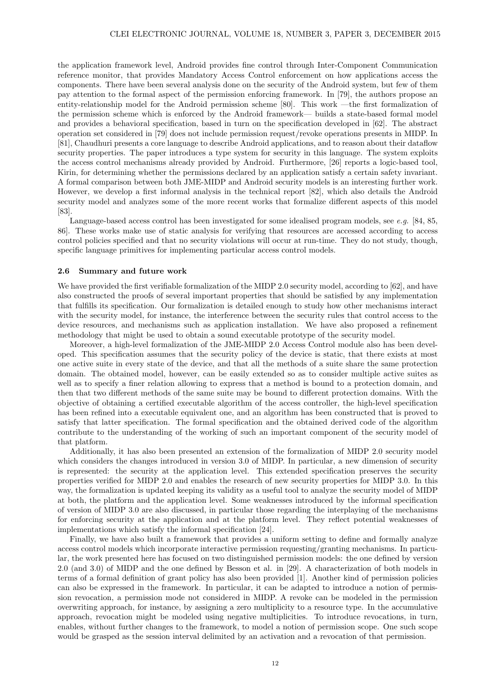the application framework level, Android provides fine control through Inter-Component Communication reference monitor, that provides Mandatory Access Control enforcement on how applications access the components. There have been several analysis done on the security of the Android system, but few of them pay attention to the formal aspect of the permission enforcing framework. In [79], the authors propose an entity-relationship model for the Android permission scheme [80]. This work —the first formalization of the permission scheme which is enforced by the Android framework— builds a state-based formal model and provides a behavioral specification, based in turn on the specification developed in [62]. The abstract operation set considered in [79] does not include permission request/revoke operations presents in MIDP. In [81], Chaudhuri presents a core language to describe Android applications, and to reason about their dataflow security properties. The paper introduces a type system for security in this language. The system exploits the access control mechanisms already provided by Android. Furthermore, [26] reports a logic-based tool, Kirin, for determining whether the permissions declared by an application satisfy a certain safety invariant. A formal comparison between both JME-MIDP and Android security models is an interesting further work. However, we develop a first informal analysis in the technical report [82], which also details the Android security model and analyzes some of the more recent works that formalize different aspects of this model [83].

Language-based access control has been investigated for some idealised program models, see e.g. [84, 85, 86]. These works make use of static analysis for verifying that resources are accessed according to access control policies specified and that no security violations will occur at run-time. They do not study, though, specific language primitives for implementing particular access control models.

#### 2.6 Summary and future work

We have provided the first verifiable formalization of the MIDP 2.0 security model, according to [62], and have also constructed the proofs of several important properties that should be satisfied by any implementation that fulfills its specification. Our formalization is detailed enough to study how other mechanisms interact with the security model, for instance, the interference between the security rules that control access to the device resources, and mechanisms such as application installation. We have also proposed a refinement methodology that might be used to obtain a sound executable prototype of the security model.

Moreover, a high-level formalization of the JME-MIDP 2.0 Access Control module also has been developed. This specification assumes that the security policy of the device is static, that there exists at most one active suite in every state of the device, and that all the methods of a suite share the same protection domain. The obtained model, however, can be easily extended so as to consider multiple active suites as well as to specify a finer relation allowing to express that a method is bound to a protection domain, and then that two different methods of the same suite may be bound to different protection domains. With the objective of obtaining a certified executable algorithm of the access controller, the high-level specification has been refined into a executable equivalent one, and an algorithm has been constructed that is proved to satisfy that latter specification. The formal specification and the obtained derived code of the algorithm contribute to the understanding of the working of such an important component of the security model of that platform.

Additionally, it has also been presented an extension of the formalization of MIDP 2.0 security model which considers the changes introduced in version 3.0 of MIDP. In particular, a new dimension of security is represented: the security at the application level. This extended specification preserves the security properties verified for MIDP 2.0 and enables the research of new security properties for MIDP 3.0. In this way, the formalization is updated keeping its validity as a useful tool to analyze the security model of MIDP at both, the platform and the application level. Some weaknesses introduced by the informal specification of version of MIDP 3.0 are also discussed, in particular those regarding the interplaying of the mechanisms for enforcing security at the application and at the platform level. They reflect potential weaknesses of implementations which satisfy the informal specification [24].

Finally, we have also built a framework that provides a uniform setting to define and formally analyze access control models which incorporate interactive permission requesting/granting mechanisms. In particular, the work presented here has focused on two distinguished permission models: the one defined by version 2.0 (and 3.0) of MIDP and the one defined by Besson et al. in [29]. A characterization of both models in terms of a formal definition of grant policy has also been provided [1]. Another kind of permission policies can also be expressed in the framework. In particular, it can be adapted to introduce a notion of permission revocation, a permission mode not considered in MIDP. A revoke can be modeled in the permission overwriting approach, for instance, by assigning a zero multiplicity to a resource type. In the accumulative approach, revocation might be modeled using negative multiplicities. To introduce revocations, in turn, enables, without further changes to the framework, to model a notion of permission scope. One such scope would be grasped as the session interval delimited by an activation and a revocation of that permission.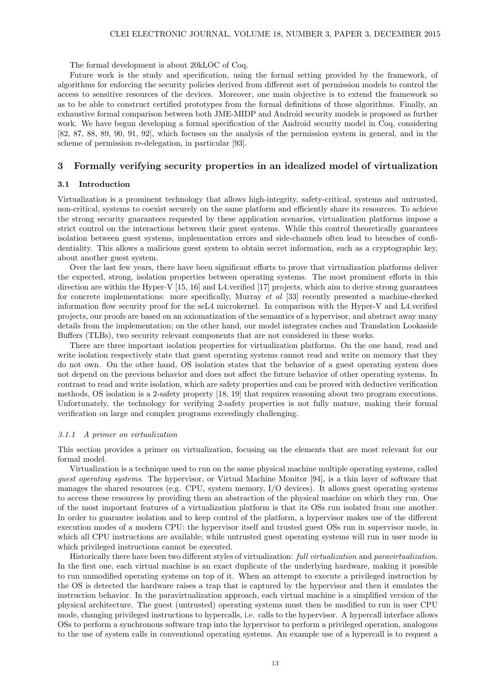## CLEI ELECTRONIC JOURNAL, VOLUME 18, NUMBER 3, PAPER 3, DECEMBER 2015

The formal development is about 20kLOC of Coq.

Future work is the study and specification, using the formal setting provided by the framework, of algorithms for enforcing the security policies derived from different sort of permission models to control the access to sensitive resources of the devices. Moreover, one main objective is to extend the framework so as to be able to construct certified prototypes from the formal definitions of those algorithms. Finally, an exhaustive formal comparison between both JME-MIDP and Android security models is proposed as further work. We have begun developing a formal specification of the Android security model in Coq, considering [82, 87, 88, 89, 90, 91, 92], which focuses on the analysis of the permission system in general, and in the scheme of permission re-delegation, in particular [93].

# 3 Formally verifying security properties in an idealized model of virtualization

## 3.1 Introduction

Virtualization is a prominent technology that allows high-integrity, safety-critical, systems and untrusted, non-critical, systems to coexist securely on the same platform and efficiently share its resources. To achieve the strong security guarantees requested by these application scenarios, virtualization platforms impose a strict control on the interactions between their guest systems. While this control theoretically guarantees isolation between guest systems, implementation errors and side-channels often lead to breaches of confidentiality. This allows a malicious guest system to obtain secret information, such as a cryptographic key, about another guest system.

Over the last few years, there have been significant efforts to prove that virtualization platforms deliver the expected, strong, isolation properties between operating systems. The most prominent efforts in this direction are within the Hyper-V [15, 16] and L4.verified [17] projects, which aim to derive strong guarantees for concrete implementations: more specifically, Murray et al [33] recently presented a machine-checked information flow security proof for the seL4 microkernel. In comparison with the Hyper-V and L4.verified projects, our proofs are based on an axiomatization of the semantics of a hypervisor, and abstract away many details from the implementation; on the other hand, our model integrates caches and Translation Lookaside Buffers (TLBs), two security relevant components that are not considered in these works.

There are three important isolation properties for virtualization platforms. On the one hand, read and write isolation respectively state that guest operating systems cannot read and write on memory that they do not own. On the other hand, OS isolation states that the behavior of a guest operating system does not depend on the previous behavior and does not affect the future behavior of other operating systems. In contrast to read and write isolation, which are safety properties and can be proved with deductive verification methods, OS isolation is a 2-safety property [18, 19] that requires reasoning about two program executions. Unfortunately, the technology for verifying 2-safety properties is not fully mature, making their formal verification on large and complex programs exceedingly challenging.

#### 3.1.1 A primer on virtualization

This section provides a primer on virtualization, focusing on the elements that are most relevant for our formal model.

Virtualization is a technique used to run on the same physical machine multiple operating systems, called guest operating systems. The hypervisor, or Virtual Machine Monitor [94], is a thin layer of software that manages the shared resources (e.g. CPU, system memory, I/O devices). It allows guest operating systems to access these resources by providing them an abstraction of the physical machine on which they run. One of the most important features of a virtualization platform is that its OSs run isolated from one another. In order to guarantee isolation and to keep control of the platform, a hypervisor makes use of the different execution modes of a modern CPU: the hypervisor itself and trusted guest OSs run in supervisor mode, in which all CPU instructions are available; while untrusted guest operating systems will run in user mode in which privileged instructions cannot be executed.

Historically there have been two different styles of virtualization: full virtualization and paravirtualization. In the first one, each virtual machine is an exact duplicate of the underlying hardware, making it possible to run unmodified operating systems on top of it. When an attempt to execute a privileged instruction by the OS is detected the hardware raises a trap that is captured by the hypervisor and then it emulates the instruction behavior. In the paravirtualization approach, each virtual machine is a simplified version of the physical architecture. The guest (untrusted) operating systems must then be modified to run in user CPU mode, changing privileged instructions to hypercalls, i.e. calls to the hypervisor. A hypercall interface allows OSs to perform a synchronous software trap into the hypervisor to perform a privileged operation, analogous to the use of system calls in conventional operating systems. An example use of a hypercall is to request a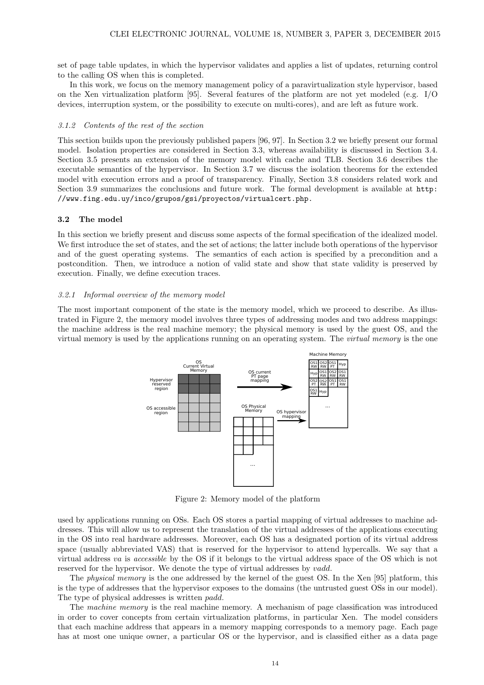set of page table updates, in which the hypervisor validates and applies a list of updates, returning control to the calling OS when this is completed.

In this work, we focus on the memory management policy of a paravirtualization style hypervisor, based on the Xen virtualization platform [95]. Several features of the platform are not yet modeled (e.g. I/O devices, interruption system, or the possibility to execute on multi-cores), and are left as future work.

## 3.1.2 Contents of the rest of the section

This section builds upon the previously published papers [96, 97]. In Section 3.2 we briefly present our formal model. Isolation properties are considered in Section 3.3, whereas availability is discussed in Section 3.4. Section 3.5 presents an extension of the memory model with cache and TLB. Section 3.6 describes the executable semantics of the hypervisor. In Section 3.7 we discuss the isolation theorems for the extended model with execution errors and a proof of transparency. Finally, Section 3.8 considers related work and Section 3.9 summarizes the conclusions and future work. The formal development is available at http: //www.fing.edu.uy/inco/grupos/gsi/proyectos/virtualcert.php.

## 3.2 The model

In this section we briefly present and discuss some aspects of the formal specification of the idealized model. We first introduce the set of states, and the set of actions; the latter include both operations of the hypervisor and of the guest operating systems. The semantics of each action is specified by a precondition and a postcondition. Then, we introduce a notion of valid state and show that state validity is preserved by execution. Finally, we define execution traces.

#### 3.2.1 Informal overview of the memory model

The most important component of the state is the memory model, which we proceed to describe. As illustrated in Figure 2, the memory model involves three types of addressing modes and two address mappings: the machine address is the real machine memory; the physical memory is used by the guest OS, and the virtual memory is used by the applications running on an operating system. The virtual memory is the one



Figure 2: Memory model of the platform

used by applications running on OSs. Each OS stores a partial mapping of virtual addresses to machine addresses. This will allow us to represent the translation of the virtual addresses of the applications executing in the OS into real hardware addresses. Moreover, each OS has a designated portion of its virtual address space (usually abbreviated VAS) that is reserved for the hypervisor to attend hypercalls. We say that a virtual address va is accessible by the OS if it belongs to the virtual address space of the OS which is not reserved for the hypervisor. We denote the type of virtual addresses by vadd.

The physical memory is the one addressed by the kernel of the guest OS. In the Xen [95] platform, this is the type of addresses that the hypervisor exposes to the domains (the untrusted guest OSs in our model). The type of physical addresses is written padd.

The machine memory is the real machine memory. A mechanism of page classification was introduced in order to cover concepts from certain virtualization platforms, in particular Xen. The model considers that each machine address that appears in a memory mapping corresponds to a memory page. Each page has at most one unique owner, a particular OS or the hypervisor, and is classified either as a data page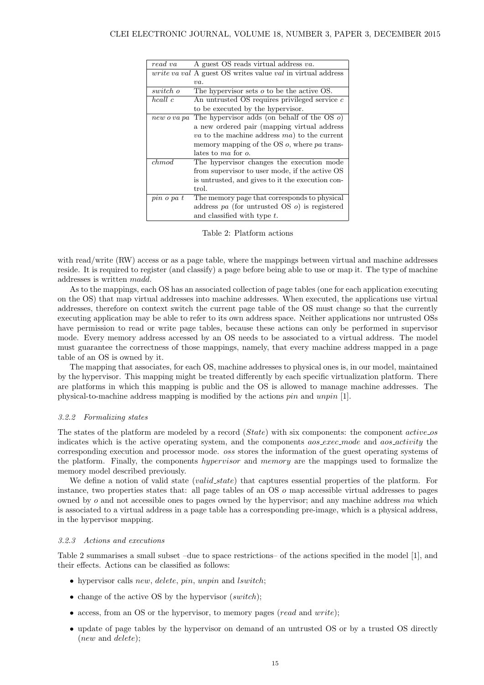| read va     | A guest OS reads virtual address va.                                      |
|-------------|---------------------------------------------------------------------------|
|             | <i>write va val</i> A guest OS writes value <i>val</i> in virtual address |
|             | va.                                                                       |
| switch o    | The hypervisor sets $o$ to be the active OS.                              |
| hcall c     | An untrusted OS requires privileged service c                             |
|             | to be executed by the hypervisor.                                         |
| new o va pa | The hypervisor adds (on behalf of the OS $\varphi$ )                      |
|             | a new ordered pair (mapping virtual address                               |
|             | va to the machine address $ma$ ) to the current                           |
|             | memory mapping of the OS $o$ , where $pa$ trans-                          |
|             | lates to $ma$ for $o$ .                                                   |
| chmod       | The hypervisor changes the execution mode                                 |
|             | from supervisor to user mode, if the active OS                            |
|             | is untrusted, and gives to it the execution con-                          |
|             | trol.                                                                     |
| pin o pa t  | The memory page that corresponds to physical                              |
|             | address pa (for untrusted OS $o$ ) is registered                          |
|             | and classified with type $t$ .                                            |

Table 2: Platform actions

with read/write (RW) access or as a page table, where the mappings between virtual and machine addresses reside. It is required to register (and classify) a page before being able to use or map it. The type of machine addresses is written madd.

As to the mappings, each OS has an associated collection of page tables (one for each application executing on the OS) that map virtual addresses into machine addresses. When executed, the applications use virtual addresses, therefore on context switch the current page table of the OS must change so that the currently executing application may be able to refer to its own address space. Neither applications nor untrusted OSs have permission to read or write page tables, because these actions can only be performed in supervisor mode. Every memory address accessed by an OS needs to be associated to a virtual address. The model must guarantee the correctness of those mappings, namely, that every machine address mapped in a page table of an OS is owned by it.

The mapping that associates, for each OS, machine addresses to physical ones is, in our model, maintained by the hypervisor. This mapping might be treated differently by each specific virtualization platform. There are platforms in which this mapping is public and the OS is allowed to manage machine addresses. The physical-to-machine address mapping is modified by the actions pin and unpin [1].

## 3.2.2 Formalizing states

The states of the platform are modeled by a record ( $State$ ) with six components: the component  $active\_os$ indicates which is the active operating system, and the components *aos\_exec\_mode* and *aos\_activity* the corresponding execution and processor mode. oss stores the information of the guest operating systems of the platform. Finally, the components hypervisor and memory are the mappings used to formalize the memory model described previously.

We define a notion of valid state (*valid\_state*) that captures essential properties of the platform. For instance, two properties states that: all page tables of an OS o map accessible virtual addresses to pages owned by  $o$  and not accessible ones to pages owned by the hypervisor; and any machine address ma which is associated to a virtual address in a page table has a corresponding pre-image, which is a physical address, in the hypervisor mapping.

## 3.2.3 Actions and executions

Table 2 summarises a small subset –due to space restrictions– of the actions specified in the model [1], and their effects. Actions can be classified as follows:

- hypervisor calls *new*, *delete*, *pin*, *unpin* and *lswitch*;
- change of the active OS by the hypervisor  $(switch)$ ;
- access, from an OS or the hypervisor, to memory pages (read and write);
- update of page tables by the hypervisor on demand of an untrusted OS or by a trusted OS directly (new and delete);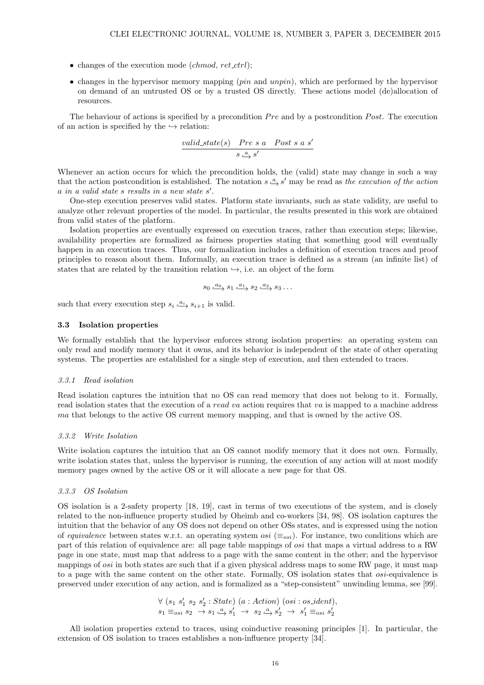- changes of the execution mode  $(chmod, ret\_ctrl);$
- changes in the hypervisor memory mapping  $(pin$  and  $unpin)$ , which are performed by the hypervisor on demand of an untrusted OS or by a trusted OS directly. These actions model (de)allocation of resources.

The behaviour of actions is specified by a precondition  $Pre$  and by a postcondition  $Post$ . The execution of an action is specified by the  $\hookrightarrow$  relation:

$$
\frac{valid\_state(s)\quad Pre\ s\ a\quad Post\ s\ a\ s'}{s\stackrel{a}{\hookrightarrow}s'}
$$

Whenever an action occurs for which the precondition holds, the (valid) state may change in such a way that the action postcondition is established. The notation  $s \stackrel{a}{\to} s'$  may be read as the execution of the action  $a$  in a valid state s results in a new state  $s'$ .

One-step execution preserves valid states. Platform state invariants, such as state validity, are useful to analyze other relevant properties of the model. In particular, the results presented in this work are obtained from valid states of the platform.

Isolation properties are eventually expressed on execution traces, rather than execution steps; likewise, availability properties are formalized as fairness properties stating that something good will eventually happen in an execution traces. Thus, our formalization includes a definition of execution traces and proof principles to reason about them. Informally, an execution trace is defined as a stream (an infinite list) of states that are related by the transition relation  $\rightarrow$ , i.e. an object of the form

$$
s_0 \xrightarrow{a_0} s_1 \xrightarrow{a_1} s_2 \xrightarrow{a_2} s_3 \dots
$$

such that every execution step  $s_i \xrightarrow{a_i} s_{i+1}$  is valid.

#### 3.3 Isolation properties

We formally establish that the hypervisor enforces strong isolation properties: an operating system can only read and modify memory that it owns, and its behavior is independent of the state of other operating systems. The properties are established for a single step of execution, and then extended to traces.

#### 3.3.1 Read isolation

Read isolation captures the intuition that no OS can read memory that does not belong to it. Formally, read isolation states that the execution of a read va action requires that va is mapped to a machine address ma that belongs to the active OS current memory mapping, and that is owned by the active OS.

#### 3.3.2 Write Isolation

Write isolation captures the intuition that an OS cannot modify memory that it does not own. Formally, write isolation states that, unless the hypervisor is running, the execution of any action will at most modify memory pages owned by the active OS or it will allocate a new page for that OS.

#### 3.3.3 OS Isolation

OS isolation is a 2-safety property [18, 19], cast in terms of two executions of the system, and is closely related to the non-influence property studied by Oheimb and co-workers [34, 98]. OS isolation captures the intuition that the behavior of any OS does not depend on other OSs states, and is expressed using the notion of equivalence between states w.r.t. an operating system osi ( $\equiv_{osi}$ ). For instance, two conditions which are part of this relation of equivalence are: all page table mappings of osi that maps a virtual address to a RW page in one state, must map that address to a page with the same content in the other; and the hypervisor mappings of *osi* in both states are such that if a given physical address maps to some RW page, it must map to a page with the same content on the other state. Formally, OS isolation states that osi-equivalence is preserved under execution of any action, and is formalized as a "step-consistent" unwinding lemma, see [99].

$$
\forall (s_1 \ s'_1 \ s_2 \ s'_2 : State) \ (a : Action) \ (osi : os_ident),s_1 \equiv_{osi} s_2 \rightarrow s_1 \stackrel{a}{\rightarrow} s'_1 \rightarrow s_2 \stackrel{a}{\rightarrow} s'_2 \rightarrow s'_1 \equiv_{osi} s'_2
$$

All isolation properties extend to traces, using coinductive reasoning principles [1]. In particular, the extension of OS isolation to traces establishes a non-influence property [34].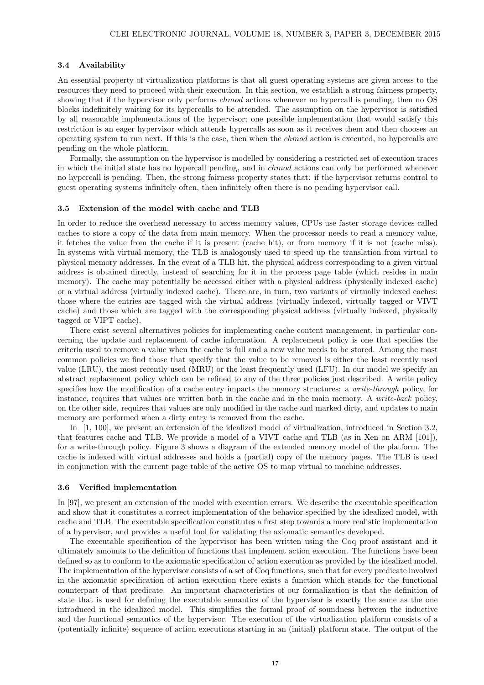## 3.4 Availability

An essential property of virtualization platforms is that all guest operating systems are given access to the resources they need to proceed with their execution. In this section, we establish a strong fairness property, showing that if the hypervisor only performs *chmod* actions whenever no hypercall is pending, then no OS blocks indefinitely waiting for its hypercalls to be attended. The assumption on the hypervisor is satisfied by all reasonable implementations of the hypervisor; one possible implementation that would satisfy this restriction is an eager hypervisor which attends hypercalls as soon as it receives them and then chooses an operating system to run next. If this is the case, then when the chmod action is executed, no hypercalls are pending on the whole platform.

Formally, the assumption on the hypervisor is modelled by considering a restricted set of execution traces in which the initial state has no hypercall pending, and in chmod actions can only be performed whenever no hypercall is pending. Then, the strong fairness property states that: if the hypervisor returns control to guest operating systems infinitely often, then infinitely often there is no pending hypervisor call.

## 3.5 Extension of the model with cache and TLB

In order to reduce the overhead necessary to access memory values, CPUs use faster storage devices called caches to store a copy of the data from main memory. When the processor needs to read a memory value, it fetches the value from the cache if it is present (cache hit), or from memory if it is not (cache miss). In systems with virtual memory, the TLB is analogously used to speed up the translation from virtual to physical memory addresses. In the event of a TLB hit, the physical address corresponding to a given virtual address is obtained directly, instead of searching for it in the process page table (which resides in main memory). The cache may potentially be accessed either with a physical address (physically indexed cache) or a virtual address (virtually indexed cache). There are, in turn, two variants of virtually indexed caches: those where the entries are tagged with the virtual address (virtually indexed, virtually tagged or VIVT cache) and those which are tagged with the corresponding physical address (virtually indexed, physically tagged or VIPT cache).

There exist several alternatives policies for implementing cache content management, in particular concerning the update and replacement of cache information. A replacement policy is one that specifies the criteria used to remove a value when the cache is full and a new value needs to be stored. Among the most common policies we find those that specify that the value to be removed is either the least recently used value (LRU), the most recently used (MRU) or the least frequently used (LFU). In our model we specify an abstract replacement policy which can be refined to any of the three policies just described. A write policy specifies how the modification of a cache entry impacts the memory structures: a *write-through* policy, for instance, requires that values are written both in the cache and in the main memory. A write-back policy, on the other side, requires that values are only modified in the cache and marked dirty, and updates to main memory are performed when a dirty entry is removed from the cache.

In [1, 100], we present an extension of the idealized model of virtualization, introduced in Section 3.2, that features cache and TLB. We provide a model of a VIVT cache and TLB (as in Xen on ARM [101]), for a write-through policy. Figure 3 shows a diagram of the extended memory model of the platform. The cache is indexed with virtual addresses and holds a (partial) copy of the memory pages. The TLB is used in conjunction with the current page table of the active OS to map virtual to machine addresses.

#### 3.6 Verified implementation

In [97], we present an extension of the model with execution errors. We describe the executable specification and show that it constitutes a correct implementation of the behavior specified by the idealized model, with cache and TLB. The executable specification constitutes a first step towards a more realistic implementation of a hypervisor, and provides a useful tool for validating the axiomatic semantics developed.

The executable specification of the hypervisor has been written using the Coq proof assistant and it ultimately amounts to the definition of functions that implement action execution. The functions have been defined so as to conform to the axiomatic specification of action execution as provided by the idealized model. The implementation of the hypervisor consists of a set of Coq functions, such that for every predicate involved in the axiomatic specification of action execution there exists a function which stands for the functional counterpart of that predicate. An important characteristics of our formalization is that the definition of state that is used for defining the executable semantics of the hypervisor is exactly the same as the one introduced in the idealized model. This simplifies the formal proof of soundness between the inductive and the functional semantics of the hypervisor. The execution of the virtualization platform consists of a (potentially infinite) sequence of action executions starting in an (initial) platform state. The output of the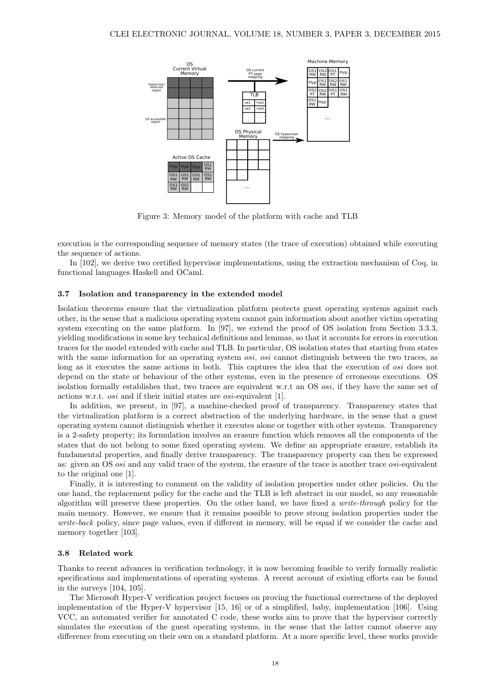

Figure 3: Memory model of the platform with cache and TLB

execution is the corresponding sequence of memory states (the trace of execution) obtained while executing the sequence of actions.

In [102], we derive two certified hypervisor implementations, using the extraction mechanism of Coq, in functional languages Haskell and OCaml.

#### 3.7 Isolation and transparency in the extended model

Isolation theorems ensure that the virtualization platform protects guest operating systems against each other, in the sense that a malicious operating system cannot gain information about another victim operating system executing on the same platform. In [97], we extend the proof of OS isolation from Section 3.3.3, yielding modifications in some key technical definitions and lemmas, so that it accounts for errors in execution traces for the model extended with cache and TLB. In particular, OS isolation states that starting from states with the same information for an operating system *osi*, *osi* cannot distinguish between the two traces, as long as it executes the same actions in both. This captures the idea that the execution of *osi* does not depend on the state or behaviour of the other systems, even in the presence of erroneous executions. OS isolation formally establishes that, two traces are equivalent w.r.t an OS *osi*, if they have the same set of actions w.r.t. osi and if their initial states are osi-equivalent [1].

In addition, we present, in [97], a machine-checked proof of transparency. Transparency states that the virtualization platform is a correct abstraction of the underlying hardware, in the sense that a guest operating system cannot distinguish whether it executes alone or together with other systems. Transparency is a 2-safety property; its formulation involves an erasure function which removes all the components of the states that do not belong to some fixed operating system. We define an appropriate erasure, establish its fundamental properties, and finally derive transparency. The transparency property can then be expressed as: given an OS *osi* and any valid trace of the system, the erasure of the trace is another trace *osi*-equivalent to the original one [1].

Finally, it is interesting to comment on the validity of isolation properties under other policies. On the one hand, the replacement policy for the cache and the TLB is left abstract in our model, so any reasonable algorithm will preserve these properties. On the other hand, we have fixed a write-through policy for the main memory. However, we ensure that it remains possible to prove strong isolation properties under the write-back policy, since page values, even if different in memory, will be equal if we consider the cache and memory together [103].

### 3.8 Related work

Thanks to recent advances in verification technology, it is now becoming feasible to verify formally realistic specifications and implementations of operating systems. A recent account of existing efforts can be found in the surveys [104, 105].

The Microsoft Hyper-V verification project focuses on proving the functional correctness of the deployed implementation of the Hyper-V hypervisor [15, 16] or of a simplified, baby, implementation [106]. Using VCC, an automated verifier for annotated C code, these works aim to prove that the hypervisor correctly simulates the execution of the guest operating systems, in the sense that the latter cannot observe any difference from executing on their own on a standard platform. At a more specific level, these works provide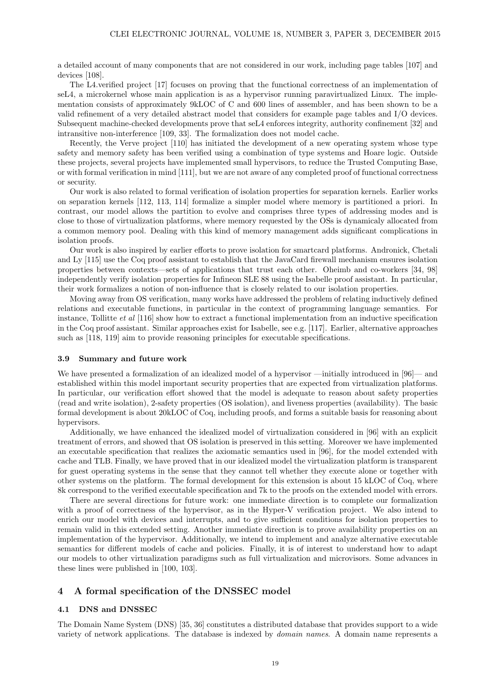a detailed account of many components that are not considered in our work, including page tables [107] and devices [108].

The L4.verified project [17] focuses on proving that the functional correctness of an implementation of seL4, a microkernel whose main application is as a hypervisor running paravirtualized Linux. The implementation consists of approximately 9kLOC of C and 600 lines of assembler, and has been shown to be a valid refinement of a very detailed abstract model that considers for example page tables and I/O devices. Subsequent machine-checked developments prove that seL4 enforces integrity, authority confinement [32] and intransitive non-interference [109, 33]. The formalization does not model cache.

Recently, the Verve project [110] has initiated the development of a new operating system whose type safety and memory safety has been verified using a combination of type systems and Hoare logic. Outside these projects, several projects have implemented small hypervisors, to reduce the Trusted Computing Base, or with formal verification in mind [111], but we are not aware of any completed proof of functional correctness or security.

Our work is also related to formal verification of isolation properties for separation kernels. Earlier works on separation kernels [112, 113, 114] formalize a simpler model where memory is partitioned a priori. In contrast, our model allows the partition to evolve and comprises three types of addressing modes and is close to those of virtualization platforms, where memory requested by the OSs is dynamicaly allocated from a common memory pool. Dealing with this kind of memory management adds significant complications in isolation proofs.

Our work is also inspired by earlier efforts to prove isolation for smartcard platforms. Andronick, Chetali and Ly [115] use the Coq proof assistant to establish that the JavaCard firewall mechanism ensures isolation properties between contexts—sets of applications that trust each other. Oheimb and co-workers [34, 98] independently verify isolation properties for Infineon SLE 88 using the Isabelle proof assistant. In particular, their work formalizes a notion of non-influence that is closely related to our isolation properties.

Moving away from OS verification, many works have addressed the problem of relating inductively defined relations and executable functions, in particular in the context of programming language semantics. For instance, Tollitte et al [116] show how to extract a functional implementation from an inductive specification in the Coq proof assistant. Similar approaches exist for Isabelle, see e.g. [117]. Earlier, alternative approaches such as [118, 119] aim to provide reasoning principles for executable specifications.

#### 3.9 Summary and future work

We have presented a formalization of an idealized model of a hypervisor —initially introduced in [96]— and established within this model important security properties that are expected from virtualization platforms. In particular, our verification effort showed that the model is adequate to reason about safety properties (read and write isolation), 2-safety properties (OS isolation), and liveness properties (availability). The basic formal development is about 20kLOC of Coq, including proofs, and forms a suitable basis for reasoning about hypervisors.

Additionally, we have enhanced the idealized model of virtualization considered in [96] with an explicit treatment of errors, and showed that OS isolation is preserved in this setting. Moreover we have implemented an executable specification that realizes the axiomatic semantics used in [96], for the model extended with cache and TLB. Finally, we have proved that in our idealized model the virtualization platform is transparent for guest operating systems in the sense that they cannot tell whether they execute alone or together with other systems on the platform. The formal development for this extension is about 15 kLOC of Coq, where 8k correspond to the verified executable specification and 7k to the proofs on the extended model with errors.

There are several directions for future work: one immediate direction is to complete our formalization with a proof of correctness of the hypervisor, as in the Hyper-V verification project. We also intend to enrich our model with devices and interrupts, and to give sufficient conditions for isolation properties to remain valid in this extended setting. Another immediate direction is to prove availability properties on an implementation of the hypervisor. Additionally, we intend to implement and analyze alternative executable semantics for different models of cache and policies. Finally, it is of interest to understand how to adapt our models to other virtualization paradigms such as full virtualization and microvisors. Some advances in these lines were published in [100, 103].

# 4 A formal specification of the DNSSEC model

# 4.1 DNS and DNSSEC

The Domain Name System (DNS) [35, 36] constitutes a distributed database that provides support to a wide variety of network applications. The database is indexed by domain names. A domain name represents a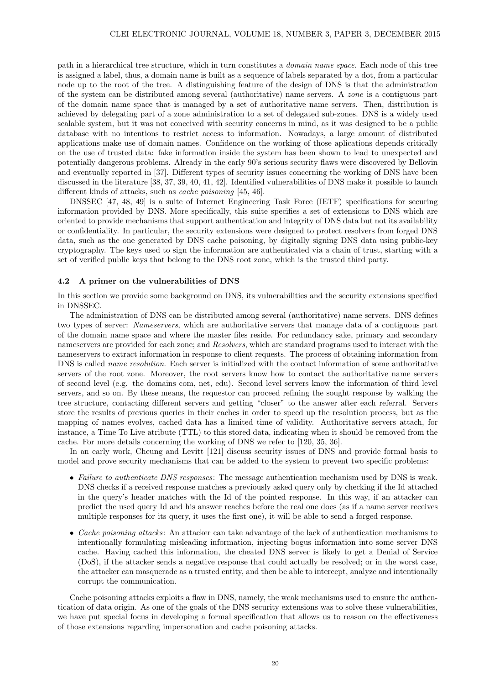path in a hierarchical tree structure, which in turn constitutes a domain name space. Each node of this tree is assigned a label, thus, a domain name is built as a sequence of labels separated by a dot, from a particular node up to the root of the tree. A distinguishing feature of the design of DNS is that the administration of the system can be distributed among several (authoritative) name servers. A zone is a contiguous part of the domain name space that is managed by a set of authoritative name servers. Then, distribution is achieved by delegating part of a zone administration to a set of delegated sub-zones. DNS is a widely used scalable system, but it was not conceived with security concerns in mind, as it was designed to be a public database with no intentions to restrict access to information. Nowadays, a large amount of distributed applications make use of domain names. Confidence on the working of those aplications depends critically on the use of trusted data: fake information inside the system has been shown to lead to unexpected and potentially dangerous problems. Already in the early 90's serious security flaws were discovered by Bellovin and eventually reported in [37]. Different types of security issues concerning the working of DNS have been discussed in the literature [38, 37, 39, 40, 41, 42]. Identified vulnerabilities of DNS make it possible to launch different kinds of attacks, such as *cache poisoning* [45, 46].

DNSSEC [47, 48, 49] is a suite of Internet Engineering Task Force (IETF) specifications for securing information provided by DNS. More specifically, this suite specifies a set of extensions to DNS which are oriented to provide mechanisms that support authentication and integrity of DNS data but not its availability or confidentiality. In particular, the security extensions were designed to protect resolvers from forged DNS data, such as the one generated by DNS cache poisoning, by digitally signing DNS data using public-key cryptography. The keys used to sign the information are authenticated via a chain of trust, starting with a set of verified public keys that belong to the DNS root zone, which is the trusted third party.

## 4.2 A primer on the vulnerabilities of DNS

In this section we provide some background on DNS, its vulnerabilities and the security extensions specified in DNSSEC.

The administration of DNS can be distributed among several (authoritative) name servers. DNS defines two types of server: Nameservers, which are authoritative servers that manage data of a contiguous part of the domain name space and where the master files reside. For redundancy sake, primary and secondary nameservers are provided for each zone; and Resolvers, which are standard programs used to interact with the nameservers to extract information in response to client requests. The process of obtaining information from DNS is called name resolution. Each server is initialized with the contact information of some authoritative servers of the root zone. Moreover, the root servers know how to contact the authoritative name servers of second level (e.g. the domains com, net, edu). Second level servers know the information of third level servers, and so on. By these means, the requestor can proceed refining the sought response by walking the tree structure, contacting different servers and getting "closer" to the answer after each referral. Servers store the results of previous queries in their caches in order to speed up the resolution process, but as the mapping of names evolves, cached data has a limited time of validity. Authoritative servers attach, for instance, a Time To Live atribute (TTL) to this stored data, indicating when it should be removed from the cache. For more details concerning the working of DNS we refer to [120, 35, 36].

In an early work, Cheung and Levitt [121] discuss security issues of DNS and provide formal basis to model and prove security mechanisms that can be added to the system to prevent two specific problems:

- Failure to authenticate DNS responses: The message authentication mechanism used by DNS is weak. DNS checks if a received response matches a previously asked query only by checking if the Id attached in the query's header matches with the Id of the pointed response. In this way, if an attacker can predict the used query Id and his answer reaches before the real one does (as if a name server receives multiple responses for its query, it uses the first one), it will be able to send a forged response.
- Cache poisoning attacks: An attacker can take advantage of the lack of authentication mechanisms to intentionally formulating misleading information, injecting bogus information into some server DNS cache. Having cached this information, the cheated DNS server is likely to get a Denial of Service (DoS), if the attacker sends a negative response that could actually be resolved; or in the worst case, the attacker can masquerade as a trusted entity, and then be able to intercept, analyze and intentionally corrupt the communication.

Cache poisoning attacks exploits a flaw in DNS, namely, the weak mechanisms used to ensure the authentication of data origin. As one of the goals of the DNS security extensions was to solve these vulnerabilities, we have put special focus in developing a formal specification that allows us to reason on the effectiveness of those extensions regarding impersonation and cache poisoning attacks.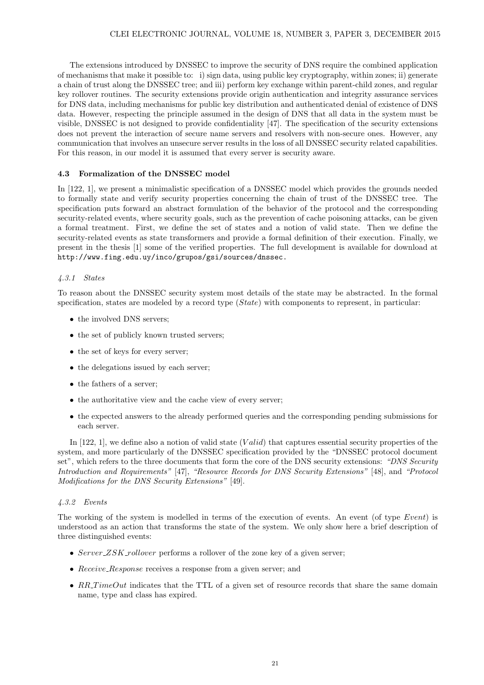The extensions introduced by DNSSEC to improve the security of DNS require the combined application of mechanisms that make it possible to: i) sign data, using public key cryptography, within zones; ii) generate a chain of trust along the DNSSEC tree; and iii) perform key exchange within parent-child zones, and regular key rollover routines. The security extensions provide origin authentication and integrity assurance services for DNS data, including mechanisms for public key distribution and authenticated denial of existence of DNS data. However, respecting the principle assumed in the design of DNS that all data in the system must be visible, DNSSEC is not designed to provide confidentiality [47]. The specification of the security extensions does not prevent the interaction of secure name servers and resolvers with non-secure ones. However, any communication that involves an unsecure server results in the loss of all DNSSEC security related capabilities. For this reason, in our model it is assumed that every server is security aware.

# 4.3 Formalization of the DNSSEC model

In [122, 1], we present a minimalistic specification of a DNSSEC model which provides the grounds needed to formally state and verify security properties concerning the chain of trust of the DNSSEC tree. The specification puts forward an abstract formulation of the behavior of the protocol and the corresponding security-related events, where security goals, such as the prevention of cache poisoning attacks, can be given a formal treatment. First, we define the set of states and a notion of valid state. Then we define the security-related events as state transformers and provide a formal definition of their execution. Finally, we present in the thesis [1] some of the verified properties. The full development is available for download at http://www.fing.edu.uy/inco/grupos/gsi/sources/dnssec.

# 4.3.1 States

To reason about the DNSSEC security system most details of the state may be abstracted. In the formal specification, states are modeled by a record type  $(State)$  with components to represent, in particular:

- the involved DNS servers;
- the set of publicly known trusted servers;
- the set of keys for every server;
- the delegations issued by each server;
- the fathers of a server:
- the authoritative view and the cache view of every server;
- the expected answers to the already performed queries and the corresponding pending submissions for each server.

In  $[122, 1]$ , we define also a notion of valid state (Valid) that captures essential security properties of the system, and more particularly of the DNSSEC specification provided by the "DNSSEC protocol document set", which refers to the three documents that form the core of the DNS security extensions: "DNS Security Introduction and Requirements" [47], "Resource Records for DNS Security Extensions" [48], and "Protocol Modifications for the DNS Security Extensions" [49].

# 4.3.2 Events

The working of the system is modelled in terms of the execution of events. An event (of type Event) is understood as an action that transforms the state of the system. We only show here a brief description of three distinguished events:

- Server\_ $ZSK\_rollover$  performs a rollover of the zone key of a given server;
- Receive\_Response receives a response from a given server; and
- $RR\_TimeOut$  indicates that the TTL of a given set of resource records that share the same domain name, type and class has expired.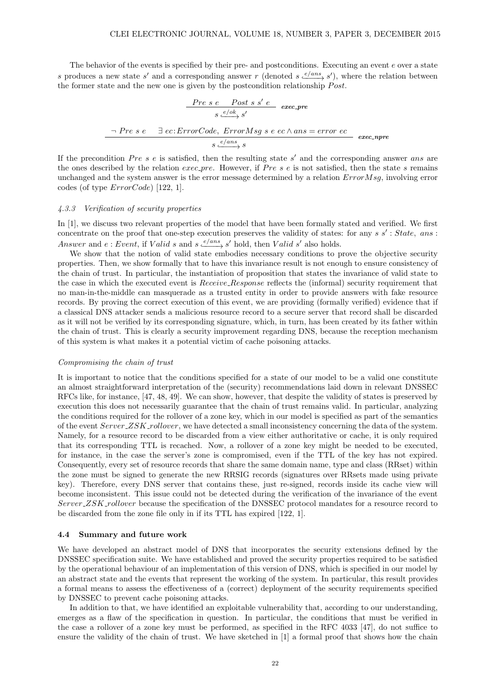The behavior of the events is specified by their pre- and postconditions. Executing an event  $e$  over a state s produces a new state s' and a corresponding answer r (denoted s  $\xrightarrow{e/ans} s'$ ), where the relation between the former state and the new one is given by the postcondition relationship *Post*.

$$
\frac{Pre \ s \ e \ \ \text{Post} \ s \ s' \ e}{s \cdot e/\mathsf{ok} \ s'}
$$
\n
$$
\rightarrow Pre \ s \ e \ \exists \ ec: ErrorCode, \ ErrorMsg \ s \ e \ ec \land ans = error \ ec
$$
\n
$$
s \cdot e/\mathsf{ans} \ s \ e/\mathsf{cons} \ s \ e \ ec \land ans = error \ ec
$$
\n
$$
s \cdot e/\mathsf{ans} \ s
$$

If the precondition  $Pre \, s \, e$  is satisfied, then the resulting state  $s'$  and the corresponding answer ans are the ones described by the relation exec pre. However, if  $Pre \, s \, e$  is not satisfied, then the state s remains unchanged and the system answer is the error message determined by a relation  $ErrorMsq$ , involving error codes (of type ErrorCode) [122, 1].

## 4.3.3 Verification of security properties

In [1], we discuss two relevant properties of the model that have been formally stated and verified. We first concentrate on the proof that one-step execution preserves the validity of states: for any  $s s'$ : State, ans: Answer and  $e: Event$ , if Valid s and s  $\frac{e/ans}{\longrightarrow} s'$  hold, then Valid s' also holds.

We show that the notion of valid state embodies necessary conditions to prove the objective security properties. Then, we show formally that to have this invariance result is not enough to ensure consistency of the chain of trust. In particular, the instantiation of proposition that states the invariance of valid state to the case in which the executed event is Receive Response reflects the (informal) security requirement that no man-in-the-middle can masquerade as a trusted entity in order to provide answers with fake resource records. By proving the correct execution of this event, we are providing (formally verified) evidence that if a classical DNS attacker sends a malicious resource record to a secure server that record shall be discarded as it will not be verified by its corresponding signature, which, in turn, has been created by its father within the chain of trust. This is clearly a security improvement regarding DNS, because the reception mechanism of this system is what makes it a potential victim of cache poisoning attacks.

# Compromising the chain of trust

It is important to notice that the conditions specified for a state of our model to be a valid one constitute an almost straightforward interpretation of the (security) recommendations laid down in relevant DNSSEC RFCs like, for instance, [47, 48, 49]. We can show, however, that despite the validity of states is preserved by execution this does not necessarily guarantee that the chain of trust remains valid. In particular, analyzing the conditions required for the rollover of a zone key, which in our model is specified as part of the semantics of the event *Server ZSK rollover*, we have detected a small inconsistency concerning the data of the system. Namely, for a resource record to be discarded from a view either authoritative or cache, it is only required that its corresponding TTL is recached. Now, a rollover of a zone key might be needed to be executed, for instance, in the case the server's zone is compromised, even if the TTL of the key has not expired. Consequently, every set of resource records that share the same domain name, type and class (RRset) within the zone must be signed to generate the new RRSIG records (signatures over RRsets made using private key). Therefore, every DNS server that contains these, just re-signed, records inside its cache view will become inconsistent. This issue could not be detected during the verification of the invariance of the event Server ZSK rollover because the specification of the DNSSEC protocol mandates for a resource record to be discarded from the zone file only in if its TTL has expired [122, 1].

#### 4.4 Summary and future work

We have developed an abstract model of DNS that incorporates the security extensions defined by the DNSSEC specification suite. We have established and proved the security properties required to be satisfied by the operational behaviour of an implementation of this version of DNS, which is specified in our model by an abstract state and the events that represent the working of the system. In particular, this result provides a formal means to assess the effectiveness of a (correct) deployment of the security requirements specified by DNSSEC to prevent cache poisoning attacks.

In addition to that, we have identified an exploitable vulnerability that, according to our understanding, emerges as a flaw of the specification in question. In particular, the conditions that must be verified in the case a rollover of a zone key must be performed, as specified in the RFC 4033 [47], do not suffice to ensure the validity of the chain of trust. We have sketched in [1] a formal proof that shows how the chain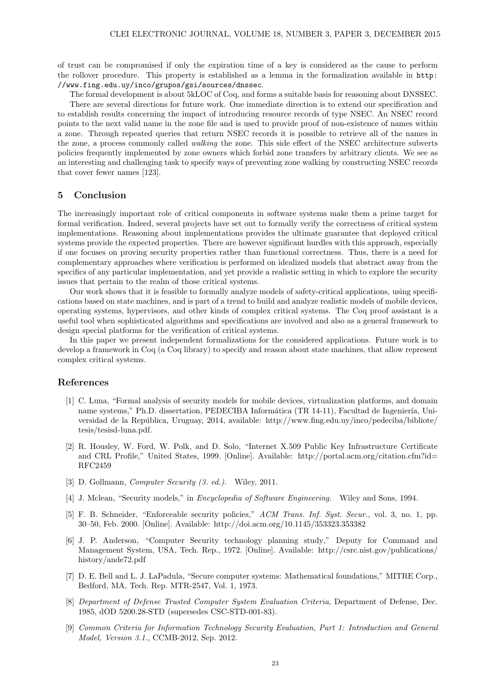of trust can be compromised if only the expiration time of a key is considered as the cause to perform the rollover procedure. This property is established as a lemma in the formalization available in http: //www.fing.edu.uy/inco/grupos/gsi/sources/dnssec.

The formal development is about 5kLOC of Coq, and forms a suitable basis for reasoning about DNSSEC. There are several directions for future work. One immediate direction is to extend our specification and to establish results concerning the impact of introducing resource records of type NSEC. An NSEC record points to the next valid name in the zone file and is used to provide proof of non-existence of names within a zone. Through repeated queries that return NSEC records it is possible to retrieve all of the names in the zone, a process commonly called walking the zone. This side effect of the NSEC architecture subverts policies frequently implemented by zone owners which forbid zone transfers by arbitrary clients. We see as an interesting and challenging task to specify ways of preventing zone walking by constructing NSEC records that cover fewer names [123].

# 5 Conclusion

The increasingly important role of critical components in software systems make them a prime target for formal verification. Indeed, several projects have set out to formally verify the correctness of critical system implementations. Reasoning about implementations provides the ultimate guarantee that deployed critical systems provide the expected properties. There are however significant hurdles with this approach, especially if one focuses on proving security properties rather than functional correctness. Thus, there is a need for complementary approaches where verification is performed on idealized models that abstract away from the specifics of any particular implementation, and yet provide a realistic setting in which to explore the security issues that pertain to the realm of those critical systems.

Our work shows that it is feasible to formally analyze models of safety-critical applications, using specifications based on state machines, and is part of a trend to build and analyze realistic models of mobile devices, operating systems, hypervisors, and other kinds of complex critical systems. The Coq proof assistant is a useful tool when sophisticated algorithms and specifications are involved and also as a general framework to design special platforms for the verification of critical systems.

In this paper we present independent formalizations for the considered applications. Future work is to develop a framework in Coq (a Coq library) to specify and reason about state machines, that allow represent complex critical systems.

## References

- [1] C. Luna, "Formal analysis of security models for mobile devices, virtualization platforms, and domain name systems," Ph.D. dissertation, PEDECIBA Informática (TR 14-11), Facultad de Ingeniería, Universidad de la República, Uruguay, 2014, available: http://www.fing.edu.uy/inco/pedeciba/bibliote/ tesis/tesisd-luna.pdf.
- [2] R. Housley, W. Ford, W. Polk, and D. Solo, "Internet X.509 Public Key Infrastructure Certificate and CRL Profile," United States, 1999. [Online]. Available: http://portal.acm.org/citation.cfm?id= RFC2459
- [3] D. Gollmann, *Computer Security (3. ed.)*. Wiley, 2011.
- [4] J. Mclean, "Security models," in Encyclopedia of Software Engineering. Wiley and Sons, 1994.
- [5] F. B. Schneider, "Enforceable security policies," ACM Trans. Inf. Syst. Secur., vol. 3, no. 1, pp. 30–50, Feb. 2000. [Online]. Available: http://doi.acm.org/10.1145/353323.353382
- [6] J. P. Anderson, "Computer Security technology planning study," Deputy for Command and Management System, USA, Tech. Rep., 1972. [Online]. Available: http://csrc.nist.gov/publications/ history/ande72.pdf
- [7] D. E. Bell and L. J. LaPadula, "Secure computer systems: Mathematical foundations," MITRE Corp., Bedford, MA, Tech. Rep. MTR-2547, Vol. 1, 1973.
- [8] Department of Defense Trusted Computer System Evaluation Criteria, Department of Defense, Dec. 1985, dOD 5200.28-STD (supersedes CSC-STD-001-83).
- [9] Common Criteria for Information Technology Security Evaluation, Part 1: Introduction and General Model, Version 3.1., CCMB-2012, Sep. 2012.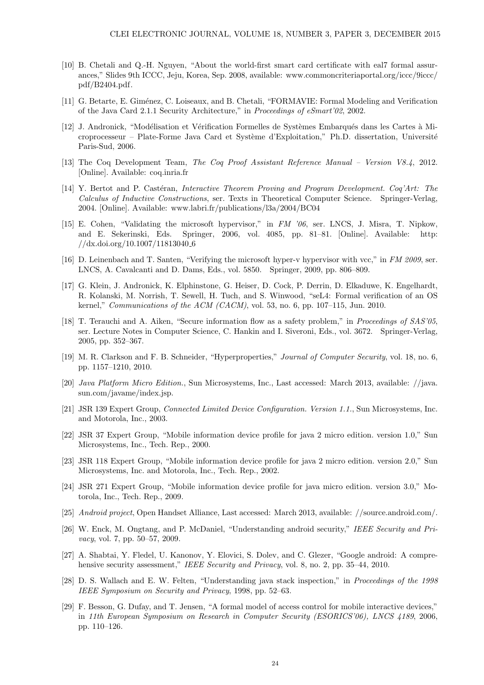- [10] B. Chetali and Q.-H. Nguyen, "About the world-first smart card certificate with eal7 formal assurances," Slides 9th ICCC, Jeju, Korea, Sep. 2008, available: www.commoncriteriaportal.org/iccc/9iccc/ pdf/B2404.pdf.
- [11] G. Betarte, E. Giménez, C. Loiseaux, and B. Chetali, "FORMAVIE: Formal Modeling and Verification of the Java Card 2.1.1 Security Architecture," in Proceedings of eSmart'02, 2002.
- [12] J. Andronick, "Modélisation et Vérification Formelles de Systèmes Embarqués dans les Cartes à Microprocesseur – Plate-Forme Java Card et Système d'Exploitation," Ph.D. dissertation, Université Paris-Sud, 2006.
- [13] The Coq Development Team, The Coq Proof Assistant Reference Manual Version V8.4, 2012. [Online]. Available: coq.inria.fr
- [14] Y. Bertot and P. Castéran, Interactive Theorem Proving and Program Development. Coq'Art: The Calculus of Inductive Constructions, ser. Texts in Theoretical Computer Science. Springer-Verlag, 2004. [Online]. Available: www.labri.fr/publications/l3a/2004/BC04
- [15] E. Cohen, "Validating the microsoft hypervisor," in FM '06, ser. LNCS, J. Misra, T. Nipkow, and E. Sekerinski, Eds. Springer, 2006, vol. 4085, pp. 81–81. [Online]. Available: http: //dx.doi.org/10.1007/11813040 6
- [16] D. Leinenbach and T. Santen, "Verifying the microsoft hyper-v hypervisor with vcc," in FM 2009, ser. LNCS, A. Cavalcanti and D. Dams, Eds., vol. 5850. Springer, 2009, pp. 806–809.
- [17] G. Klein, J. Andronick, K. Elphinstone, G. Heiser, D. Cock, P. Derrin, D. Elkaduwe, K. Engelhardt, R. Kolanski, M. Norrish, T. Sewell, H. Tuch, and S. Winwood, "seL4: Formal verification of an OS kernel," Communications of the ACM (CACM), vol. 53, no. 6, pp. 107–115, Jun. 2010.
- [18] T. Terauchi and A. Aiken, "Secure information flow as a safety problem," in Proceedings of SAS'05, ser. Lecture Notes in Computer Science, C. Hankin and I. Siveroni, Eds., vol. 3672. Springer-Verlag, 2005, pp. 352–367.
- [19] M. R. Clarkson and F. B. Schneider, "Hyperproperties," Journal of Computer Security, vol. 18, no. 6, pp. 1157–1210, 2010.
- [20] Java Platform Micro Edition., Sun Microsystems, Inc., Last accessed: March 2013, available: //java. sun.com/javame/index.jsp.
- [21] JSR 139 Expert Group, Connected Limited Device Configuration. Version 1.1., Sun Microsystems, Inc. and Motorola, Inc., 2003.
- [22] JSR 37 Expert Group, "Mobile information device profile for java 2 micro edition. version 1.0," Sun Microsystems, Inc., Tech. Rep., 2000.
- [23] JSR 118 Expert Group, "Mobile information device profile for java 2 micro edition. version 2.0," Sun Microsystems, Inc. and Motorola, Inc., Tech. Rep., 2002.
- [24] JSR 271 Expert Group, "Mobile information device profile for java micro edition. version 3.0," Motorola, Inc., Tech. Rep., 2009.
- [25] Android project, Open Handset Alliance, Last accessed: March 2013, available: //source.android.com/.
- [26] W. Enck, M. Ongtang, and P. McDaniel, "Understanding android security," IEEE Security and Privacy, vol. 7, pp. 50–57, 2009.
- [27] A. Shabtai, Y. Fledel, U. Kanonov, Y. Elovici, S. Dolev, and C. Glezer, "Google android: A comprehensive security assessment," IEEE Security and Privacy, vol. 8, no. 2, pp. 35-44, 2010.
- [28] D. S. Wallach and E. W. Felten, "Understanding java stack inspection," in Proceedings of the 1998 IEEE Symposium on Security and Privacy, 1998, pp. 52–63.
- [29] F. Besson, G. Dufay, and T. Jensen, "A formal model of access control for mobile interactive devices," in 11th European Symposium on Research in Computer Security (ESORICS'06), LNCS 4189, 2006, pp. 110–126.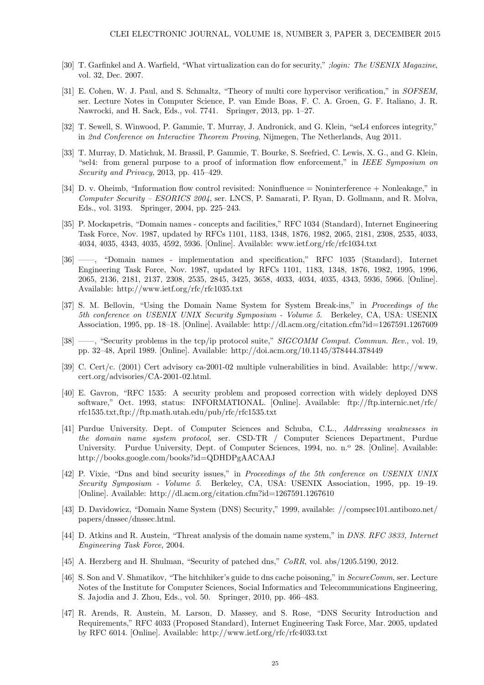- [30] T. Garfinkel and A. Warfield, "What virtualization can do for security," ;login: The USENIX Magazine, vol. 32, Dec. 2007.
- [31] E. Cohen, W. J. Paul, and S. Schmaltz, "Theory of multi core hypervisor verification," in SOFSEM, ser. Lecture Notes in Computer Science, P. van Emde Boas, F. C. A. Groen, G. F. Italiano, J. R. Nawrocki, and H. Sack, Eds., vol. 7741. Springer, 2013, pp. 1–27.
- [32] T. Sewell, S. Winwood, P. Gammie, T. Murray, J. Andronick, and G. Klein, "seL4 enforces integrity," in 2nd Conference on Interactive Theorem Proving, Nijmegen, The Netherlands, Aug 2011.
- [33] T. Murray, D. Matichuk, M. Brassil, P. Gammie, T. Bourke, S. Seefried, C. Lewis, X. G., and G. Klein, "sel4: from general purpose to a proof of information flow enforcement," in IEEE Symposium on Security and Privacy, 2013, pp. 415–429.
- [34] D. v. Oheimb, "Information flow control revisited: Noninfluence = Noninterference + Nonleakage," in Computer Security – ESORICS 2004, ser. LNCS, P. Samarati, P. Ryan, D. Gollmann, and R. Molva, Eds., vol. 3193. Springer, 2004, pp. 225–243.
- [35] P. Mockapetris, "Domain names concepts and facilities," RFC 1034 (Standard), Internet Engineering Task Force, Nov. 1987, updated by RFCs 1101, 1183, 1348, 1876, 1982, 2065, 2181, 2308, 2535, 4033, 4034, 4035, 4343, 4035, 4592, 5936. [Online]. Available: www.ietf.org/rfc/rfc1034.txt
- [36] ——, "Domain names implementation and specification," RFC 1035 (Standard), Internet Engineering Task Force, Nov. 1987, updated by RFCs 1101, 1183, 1348, 1876, 1982, 1995, 1996, 2065, 2136, 2181, 2137, 2308, 2535, 2845, 3425, 3658, 4033, 4034, 4035, 4343, 5936, 5966. [Online]. Available: http://www.ietf.org/rfc/rfc1035.txt
- [37] S. M. Bellovin, "Using the Domain Name System for System Break-ins," in Proceedings of the 5th conference on USENIX UNIX Security Symposium - Volume 5. Berkeley, CA, USA: USENIX Association, 1995, pp. 18–18. [Online]. Available: http://dl.acm.org/citation.cfm?id=1267591.1267609
- [38] ——, "Security problems in the tcp/ip protocol suite," SIGCOMM Comput. Commun. Rev., vol. 19, pp. 32–48, April 1989. [Online]. Available: http://doi.acm.org/10.1145/378444.378449
- [39] C. Cert/c. (2001) Cert advisory ca-2001-02 multiple vulnerabilities in bind. Available: http://www. cert.org/advisories/CA-2001-02.html.
- [40] E. Gavron, "RFC 1535: A security problem and proposed correction with widely deployed DNS software," Oct. 1993, status: INFORMATIONAL. [Online]. Available: ftp://ftp.internic.net/rfc/ rfc1535.txt,ftp://ftp.math.utah.edu/pub/rfc/rfc1535.txt
- [41] Purdue University. Dept. of Computer Sciences and Schuba, C.L., Addressing weaknesses in the domain name system protocol, ser. CSD-TR / Computer Sciences Department, Purdue University. Purdue University, Dept. of Computer Sciences, 1994, no. n.º 28. [Online]. Available: http://books.google.com/books?id=QDHDPgAACAAJ
- [42] P. Vixie, "Dns and bind security issues," in Proceedings of the 5th conference on USENIX UNIX Security Symposium - Volume 5. Berkeley, CA, USA: USENIX Association, 1995, pp. 19–19. [Online]. Available: http://dl.acm.org/citation.cfm?id=1267591.1267610
- [43] D. Davidowicz, "Domain Name System (DNS) Security," 1999, available: //compsec101.antibozo.net/ papers/dnssec/dnssec.html.
- [44] D. Atkins and R. Austein, "Threat analysis of the domain name system," in DNS. RFC 3833, Internet Engineering Task Force, 2004.
- [45] A. Herzberg and H. Shulman, "Security of patched dns," CoRR, vol. abs/1205.5190, 2012.
- [46] S. Son and V. Shmatikov, "The hitchhiker's guide to dns cache poisoning," in SecureComm, ser. Lecture Notes of the Institute for Computer Sciences, Social Informatics and Telecommunications Engineering, S. Jajodia and J. Zhou, Eds., vol. 50. Springer, 2010, pp. 466–483.
- [47] R. Arends, R. Austein, M. Larson, D. Massey, and S. Rose, "DNS Security Introduction and Requirements," RFC 4033 (Proposed Standard), Internet Engineering Task Force, Mar. 2005, updated by RFC 6014. [Online]. Available: http://www.ietf.org/rfc/rfc4033.txt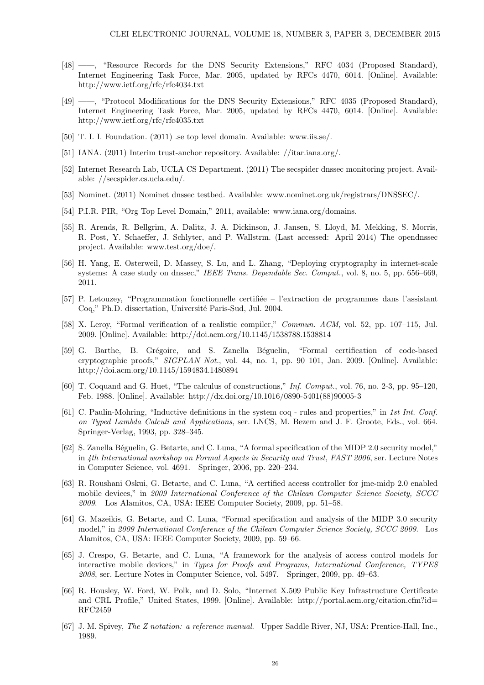- [48] ——, "Resource Records for the DNS Security Extensions," RFC 4034 (Proposed Standard), Internet Engineering Task Force, Mar. 2005, updated by RFCs 4470, 6014. [Online]. Available: http://www.ietf.org/rfc/rfc4034.txt
- [49] ——, "Protocol Modifications for the DNS Security Extensions," RFC 4035 (Proposed Standard), Internet Engineering Task Force, Mar. 2005, updated by RFCs 4470, 6014. [Online]. Available: http://www.ietf.org/rfc/rfc4035.txt
- [50] T. I. I. Foundation. (2011) .se top level domain. Available: www.iis.se/.
- [51] IANA. (2011) Interim trust-anchor repository. Available: //itar.iana.org/.
- [52] Internet Research Lab, UCLA CS Department. (2011) The secspider dnssec monitoring project. Available: //secspider.cs.ucla.edu/.
- [53] Nominet. (2011) Nominet dnssec testbed. Available: www.nominet.org.uk/registrars/DNSSEC/.
- [54] P.I.R. PIR, "Org Top Level Domain," 2011, available: www.iana.org/domains.
- [55] R. Arends, R. Bellgrim, A. Dalitz, J. A. Dickinson, J. Jansen, S. Lloyd, M. Mekking, S. Morris, R. Post, Y. Schaeffer, J. Schlyter, and P. Wallstrm. (Last accessed: April 2014) The opendnssec project. Available: www.test.org/doe/.
- [56] H. Yang, E. Osterweil, D. Massey, S. Lu, and L. Zhang, "Deploying cryptography in internet-scale systems: A case study on dnssec," IEEE Trans. Dependable Sec. Comput., vol. 8, no. 5, pp. 656–669, 2011.
- [57] P. Letouzey, "Programmation fonctionnelle certifiée l'extraction de programmes dans l'assistant Coq," Ph.D. dissertation, Université Paris-Sud, Jul. 2004.
- [58] X. Leroy, "Formal verification of a realistic compiler," Commun. ACM, vol. 52, pp. 107–115, Jul. 2009. [Online]. Available: http://doi.acm.org/10.1145/1538788.1538814
- [59] G. Barthe, B. Grégoire, and S. Zanella Béguelin, "Formal certification of code-based cryptographic proofs," SIGPLAN Not., vol. 44, no. 1, pp. 90–101, Jan. 2009. [Online]. Available: http://doi.acm.org/10.1145/1594834.1480894
- [60] T. Coquand and G. Huet, "The calculus of constructions," Inf. Comput., vol. 76, no. 2-3, pp. 95–120, Feb. 1988. [Online]. Available: http://dx.doi.org/10.1016/0890-5401(88)90005-3
- [61] C. Paulin-Mohring, "Inductive definitions in the system coq rules and properties," in 1st Int. Conf. on Typed Lambda Calculi and Applications, ser. LNCS, M. Bezem and J. F. Groote, Eds., vol. 664. Springer-Verlag, 1993, pp. 328–345.
- [62] S. Zanella Béguelin, G. Betarte, and C. Luna, "A formal specification of the MIDP 2.0 security model," in 4th International workshop on Formal Aspects in Security and Trust, FAST 2006, ser. Lecture Notes in Computer Science, vol. 4691. Springer, 2006, pp. 220–234.
- [63] R. Roushani Oskui, G. Betarte, and C. Luna, "A certified access controller for jme-midp 2.0 enabled mobile devices," in 2009 International Conference of the Chilean Computer Science Society, SCCC 2009. Los Alamitos, CA, USA: IEEE Computer Society, 2009, pp. 51–58.
- [64] G. Mazeikis, G. Betarte, and C. Luna, "Formal specification and analysis of the MIDP 3.0 security model," in 2009 International Conference of the Chilean Computer Science Society, SCCC 2009. Los Alamitos, CA, USA: IEEE Computer Society, 2009, pp. 59–66.
- [65] J. Crespo, G. Betarte, and C. Luna, "A framework for the analysis of access control models for interactive mobile devices," in Types for Proofs and Programs, International Conference, TYPES 2008, ser. Lecture Notes in Computer Science, vol. 5497. Springer, 2009, pp. 49–63.
- [66] R. Housley, W. Ford, W. Polk, and D. Solo, "Internet X.509 Public Key Infrastructure Certificate and CRL Profile," United States, 1999. [Online]. Available: http://portal.acm.org/citation.cfm?id= RFC2459
- [67] J. M. Spivey, The Z notation: a reference manual. Upper Saddle River, NJ, USA: Prentice-Hall, Inc., 1989.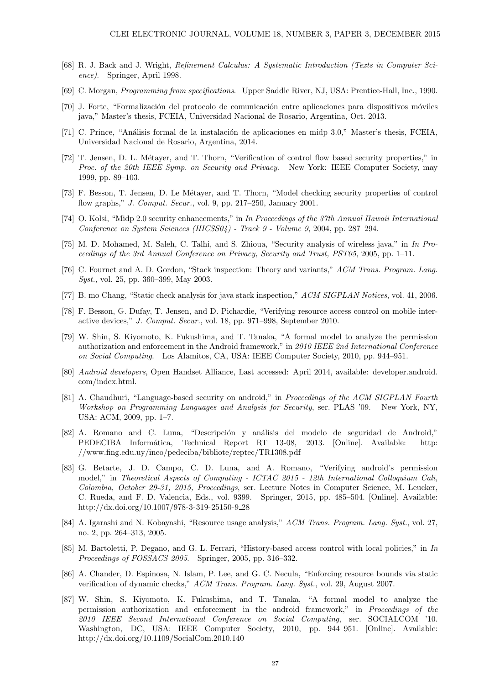- [68] R. J. Back and J. Wright, Refinement Calculus: A Systematic Introduction (Texts in Computer Science). Springer, April 1998.
- [69] C. Morgan, Programming from specifications. Upper Saddle River, NJ, USA: Prentice-Hall, Inc., 1990.
- [70] J. Forte, "Formalización del protocolo de comunicación entre aplicaciones para dispositivos móviles java," Master's thesis, FCEIA, Universidad Nacional de Rosario, Argentina, Oct. 2013.
- [71] C. Prince, "Análisis formal de la instalación de aplicaciones en midp 3.0," Master's thesis, FCEIA, Universidad Nacional de Rosario, Argentina, 2014.
- [72] T. Jensen, D. L. Métayer, and T. Thorn, "Verification of control flow based security properties," in Proc. of the 20th IEEE Symp. on Security and Privacy. New York: IEEE Computer Society, may 1999, pp. 89–103.
- [73] F. Besson, T. Jensen, D. Le Métaver, and T. Thorn, "Model checking security properties of control flow graphs," J. Comput. Secur., vol. 9, pp. 217–250, January 2001.
- [74] O. Kolsi, "Midp 2.0 security enhancements," in In Proceedings of the 37th Annual Hawaii International Conference on System Sciences (HICSS04) - Track 9 - Volume 9, 2004, pp. 287–294.
- [75] M. D. Mohamed, M. Saleh, C. Talhi, and S. Zhioua, "Security analysis of wireless java," in In Proceedings of the 3rd Annual Conference on Privacy, Security and Trust, PST05, 2005, pp. 1–11.
- [76] C. Fournet and A. D. Gordon, "Stack inspection: Theory and variants," ACM Trans. Program. Lang. Syst., vol. 25, pp. 360–399, May 2003.
- [77] B. mo Chang, "Static check analysis for java stack inspection," ACM SIGPLAN Notices, vol. 41, 2006.
- [78] F. Besson, G. Dufay, T. Jensen, and D. Pichardie, "Verifying resource access control on mobile interactive devices," J. Comput. Secur., vol. 18, pp. 971–998, September 2010.
- [79] W. Shin, S. Kiyomoto, K. Fukushima, and T. Tanaka, "A formal model to analyze the permission authorization and enforcement in the Android framework," in 2010 IEEE 2nd International Conference on Social Computing. Los Alamitos, CA, USA: IEEE Computer Society, 2010, pp. 944–951.
- [80] Android developers, Open Handset Alliance, Last accessed: April 2014, available: developer.android. com/index.html.
- [81] A. Chaudhuri, "Language-based security on android," in Proceedings of the ACM SIGPLAN Fourth Workshop on Programming Languages and Analysis for Security, ser. PLAS '09. New York, NY, USA: ACM, 2009, pp. 1–7.
- [82] A. Romano and C. Luna, "Descripción y análisis del modelo de seguridad de Android," PEDECIBA Informática, Technical Report RT 13-08, 2013. [Online]. Available: http: //www.fing.edu.uy/inco/pedeciba/bibliote/reptec/TR1308.pdf
- [83] G. Betarte, J. D. Campo, C. D. Luna, and A. Romano, "Verifying android's permission model," in Theoretical Aspects of Computing - ICTAC 2015 - 12th International Colloquium Cali, Colombia, October 29-31, 2015, Proceedings, ser. Lecture Notes in Computer Science, M. Leucker, C. Rueda, and F. D. Valencia, Eds., vol. 9399. Springer, 2015, pp. 485–504. [Online]. Available: http://dx.doi.org/10.1007/978-3-319-25150-9 28
- [84] A. Igarashi and N. Kobayashi, "Resource usage analysis," ACM Trans. Program. Lang. Syst., vol. 27, no. 2, pp. 264–313, 2005.
- [85] M. Bartoletti, P. Degano, and G. L. Ferrari, "History-based access control with local policies," in In Proceedings of FOSSACS 2005. Springer, 2005, pp. 316–332.
- [86] A. Chander, D. Espinosa, N. Islam, P. Lee, and G. C. Necula, "Enforcing resource bounds via static verification of dynamic checks," ACM Trans. Program. Lang. Syst., vol. 29, August 2007.
- [87] W. Shin, S. Kiyomoto, K. Fukushima, and T. Tanaka, "A formal model to analyze the permission authorization and enforcement in the android framework," in Proceedings of the 2010 IEEE Second International Conference on Social Computing, ser. SOCIALCOM '10. Washington, DC, USA: IEEE Computer Society, 2010, pp. 944–951. [Online]. Available: http://dx.doi.org/10.1109/SocialCom.2010.140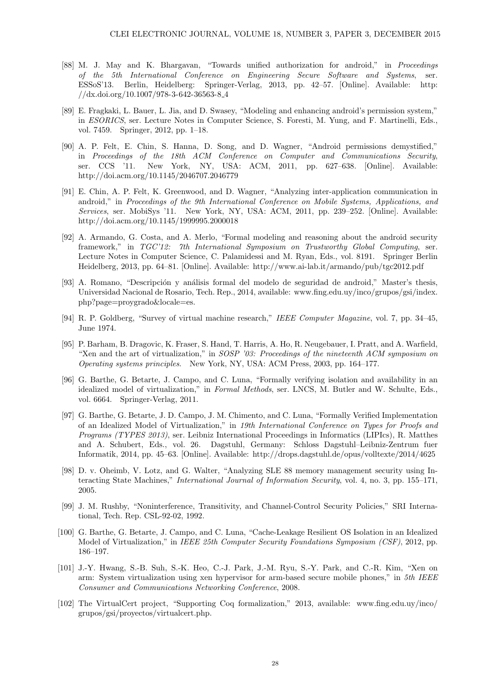- [88] M. J. May and K. Bhargavan, "Towards unified authorization for android," in Proceedings of the 5th International Conference on Engineering Secure Software and Systems, ser. ESSoS'13. Berlin, Heidelberg: Springer-Verlag, 2013, pp. 42–57. [Online]. Available: http: //dx.doi.org/10.1007/978-3-642-36563-8 4
- [89] E. Fragkaki, L. Bauer, L. Jia, and D. Swasey, "Modeling and enhancing android's permission system," in ESORICS, ser. Lecture Notes in Computer Science, S. Foresti, M. Yung, and F. Martinelli, Eds., vol. 7459. Springer, 2012, pp. 1–18.
- [90] A. P. Felt, E. Chin, S. Hanna, D. Song, and D. Wagner, "Android permissions demystified," in Proceedings of the 18th ACM Conference on Computer and Communications Security, ser. CCS '11. New York, NY, USA: ACM, 2011, pp. 627–638. [Online]. Available: http://doi.acm.org/10.1145/2046707.2046779
- [91] E. Chin, A. P. Felt, K. Greenwood, and D. Wagner, "Analyzing inter-application communication in android," in Proceedings of the 9th International Conference on Mobile Systems, Applications, and Services, ser. MobiSys '11. New York, NY, USA: ACM, 2011, pp. 239–252. [Online]. Available: http://doi.acm.org/10.1145/1999995.2000018
- [92] A. Armando, G. Costa, and A. Merlo, "Formal modeling and reasoning about the android security framework," in TGC'12: 7th International Symposium on Trustworthy Global Computing, ser. Lecture Notes in Computer Science, C. Palamidessi and M. Ryan, Eds., vol. 8191. Springer Berlin Heidelberg, 2013, pp. 64–81. [Online]. Available: http://www.ai-lab.it/armando/pub/tgc2012.pdf
- [93] A. Romano, "Descripción y análisis formal del modelo de seguridad de android," Master's thesis, Universidad Nacional de Rosario, Tech. Rep., 2014, available: www.fing.edu.uy/inco/grupos/gsi/index. php?page=proygrado&locale=es.
- [94] R. P. Goldberg, "Survey of virtual machine research," IEEE Computer Magazine, vol. 7, pp. 34–45, June 1974.
- [95] P. Barham, B. Dragovic, K. Fraser, S. Hand, T. Harris, A. Ho, R. Neugebauer, I. Pratt, and A. Warfield, "Xen and the art of virtualization," in SOSP '03: Proceedings of the nineteenth ACM symposium on Operating systems principles. New York, NY, USA: ACM Press, 2003, pp. 164–177.
- [96] G. Barthe, G. Betarte, J. Campo, and C. Luna, "Formally verifying isolation and availability in an idealized model of virtualization," in Formal Methods, ser. LNCS, M. Butler and W. Schulte, Eds., vol. 6664. Springer-Verlag, 2011.
- [97] G. Barthe, G. Betarte, J. D. Campo, J. M. Chimento, and C. Luna, "Formally Verified Implementation of an Idealized Model of Virtualization," in 19th International Conference on Types for Proofs and Programs (TYPES 2013), ser. Leibniz International Proceedings in Informatics (LIPIcs), R. Matthes and A. Schubert, Eds., vol. 26. Dagstuhl, Germany: Schloss Dagstuhl–Leibniz-Zentrum fuer Informatik, 2014, pp. 45–63. [Online]. Available: http://drops.dagstuhl.de/opus/volltexte/2014/4625
- [98] D. v. Oheimb, V. Lotz, and G. Walter, "Analyzing SLE 88 memory management security using Interacting State Machines," International Journal of Information Security, vol. 4, no. 3, pp. 155–171, 2005.
- [99] J. M. Rushby, "Noninterference, Transitivity, and Channel-Control Security Policies," SRI International, Tech. Rep. CSL-92-02, 1992.
- [100] G. Barthe, G. Betarte, J. Campo, and C. Luna, "Cache-Leakage Resilient OS Isolation in an Idealized Model of Virtualization," in IEEE 25th Computer Security Foundations Symposium (CSF), 2012, pp. 186–197.
- [101] J.-Y. Hwang, S.-B. Suh, S.-K. Heo, C.-J. Park, J.-M. Ryu, S.-Y. Park, and C.-R. Kim, "Xen on arm: System virtualization using xen hypervisor for arm-based secure mobile phones," in 5th IEEE Consumer and Communications Networking Conference, 2008.
- [102] The VirtualCert project, "Supporting Coq formalization," 2013, available: www.fing.edu.uy/inco/ grupos/gsi/proyectos/virtualcert.php.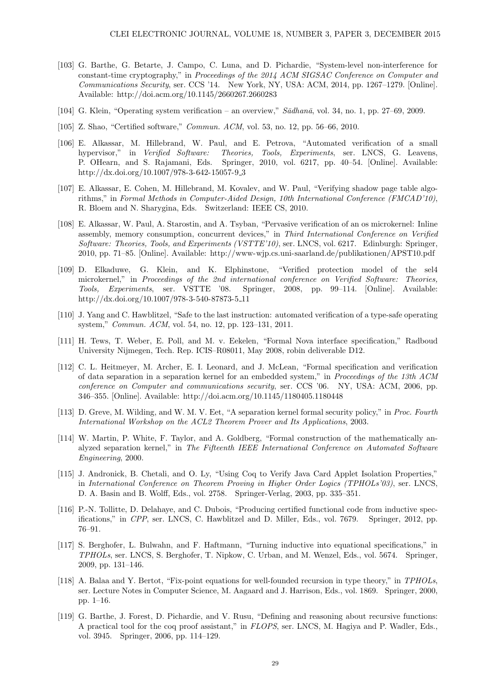- [103] G. Barthe, G. Betarte, J. Campo, C. Luna, and D. Pichardie, "System-level non-interference for constant-time cryptography," in Proceedings of the 2014 ACM SIGSAC Conference on Computer and Communications Security, ser. CCS '14. New York, NY, USA: ACM, 2014, pp. 1267–1279. [Online]. Available: http://doi.acm.org/10.1145/2660267.2660283
- [104] G. Klein, "Operating system verification an overview,"  $S\bar{a}dhan\bar{a}$ , vol. 34, no. 1, pp. 27–69, 2009.
- [105] Z. Shao, "Certified software," Commun. ACM, vol. 53, no. 12, pp. 56–66, 2010.
- [106] E. Alkassar, M. Hillebrand, W. Paul, and E. Petrova, "Automated verification of a small hypervisor," in Verified Software: Theories, Tools, Experiments, ser. LNCS, G. Leavens, P. OHearn, and S. Rajamani, Eds. Springer, 2010, vol. 6217, pp. 40–54. [Online]. Available: http://dx.doi.org/10.1007/978-3-642-15057-9 3
- [107] E. Alkassar, E. Cohen, M. Hillebrand, M. Kovalev, and W. Paul, "Verifying shadow page table algorithms," in Formal Methods in Computer-Aided Design, 10th International Conference (FMCAD'10), R. Bloem and N. Sharygina, Eds. Switzerland: IEEE CS, 2010.
- [108] E. Alkassar, W. Paul, A. Starostin, and A. Tsyban, "Pervasive verification of an os microkernel: Inline assembly, memory consumption, concurrent devices," in Third International Conference on Verified Software: Theories, Tools, and Experiments (VSTTE'10), ser. LNCS, vol. 6217. Edinburgh: Springer, 2010, pp. 71–85. [Online]. Available: http://www-wjp.cs.uni-saarland.de/publikationen/APST10.pdf
- [109] D. Elkaduwe, G. Klein, and K. Elphinstone, "Verified protection model of the sel4 microkernel," in Proceedings of the 2nd international conference on Verified Software: Theories, Tools, Experiments, ser. VSTTE '08. Springer, 2008, pp. 99–114. [Online]. Available: http://dx.doi.org/10.1007/978-3-540-87873-5 11
- [110] J. Yang and C. Hawblitzel, "Safe to the last instruction: automated verification of a type-safe operating system," Commun. ACM, vol. 54, no. 12, pp. 123–131, 2011.
- [111] H. Tews, T. Weber, E. Poll, and M. v. Eekelen, "Formal Nova interface specification," Radboud University Nijmegen, Tech. Rep. ICIS–R08011, May 2008, robin deliverable D12.
- [112] C. L. Heitmeyer, M. Archer, E. I. Leonard, and J. McLean, "Formal specification and verification of data separation in a separation kernel for an embedded system," in Proceedings of the 13th ACM conference on Computer and communications security, ser. CCS '06. NY, USA: ACM, 2006, pp. 346–355. [Online]. Available: http://doi.acm.org/10.1145/1180405.1180448
- [113] D. Greve, M. Wilding, and W. M. V. Eet, "A separation kernel formal security policy," in Proc. Fourth International Workshop on the ACL2 Theorem Prover and Its Applications, 2003.
- [114] W. Martin, P. White, F. Taylor, and A. Goldberg, "Formal construction of the mathematically analyzed separation kernel," in The Fifteenth IEEE International Conference on Automated Software Engineering, 2000.
- [115] J. Andronick, B. Chetali, and O. Ly, "Using Coq to Verify Java Card Applet Isolation Properties," in International Conference on Theorem Proving in Higher Order Logics (TPHOLs'03), ser. LNCS, D. A. Basin and B. Wolff, Eds., vol. 2758. Springer-Verlag, 2003, pp. 335–351.
- [116] P.-N. Tollitte, D. Delahaye, and C. Dubois, "Producing certified functional code from inductive specifications," in CPP, ser. LNCS, C. Hawblitzel and D. Miller, Eds., vol. 7679. Springer, 2012, pp. 76–91.
- [117] S. Berghofer, L. Bulwahn, and F. Haftmann, "Turning inductive into equational specifications," in TPHOLs, ser. LNCS, S. Berghofer, T. Nipkow, C. Urban, and M. Wenzel, Eds., vol. 5674. Springer, 2009, pp. 131–146.
- [118] A. Balaa and Y. Bertot, "Fix-point equations for well-founded recursion in type theory," in TPHOLs, ser. Lecture Notes in Computer Science, M. Aagaard and J. Harrison, Eds., vol. 1869. Springer, 2000, pp. 1–16.
- [119] G. Barthe, J. Forest, D. Pichardie, and V. Rusu, "Defining and reasoning about recursive functions: A practical tool for the coq proof assistant," in FLOPS, ser. LNCS, M. Hagiya and P. Wadler, Eds., vol. 3945. Springer, 2006, pp. 114–129.